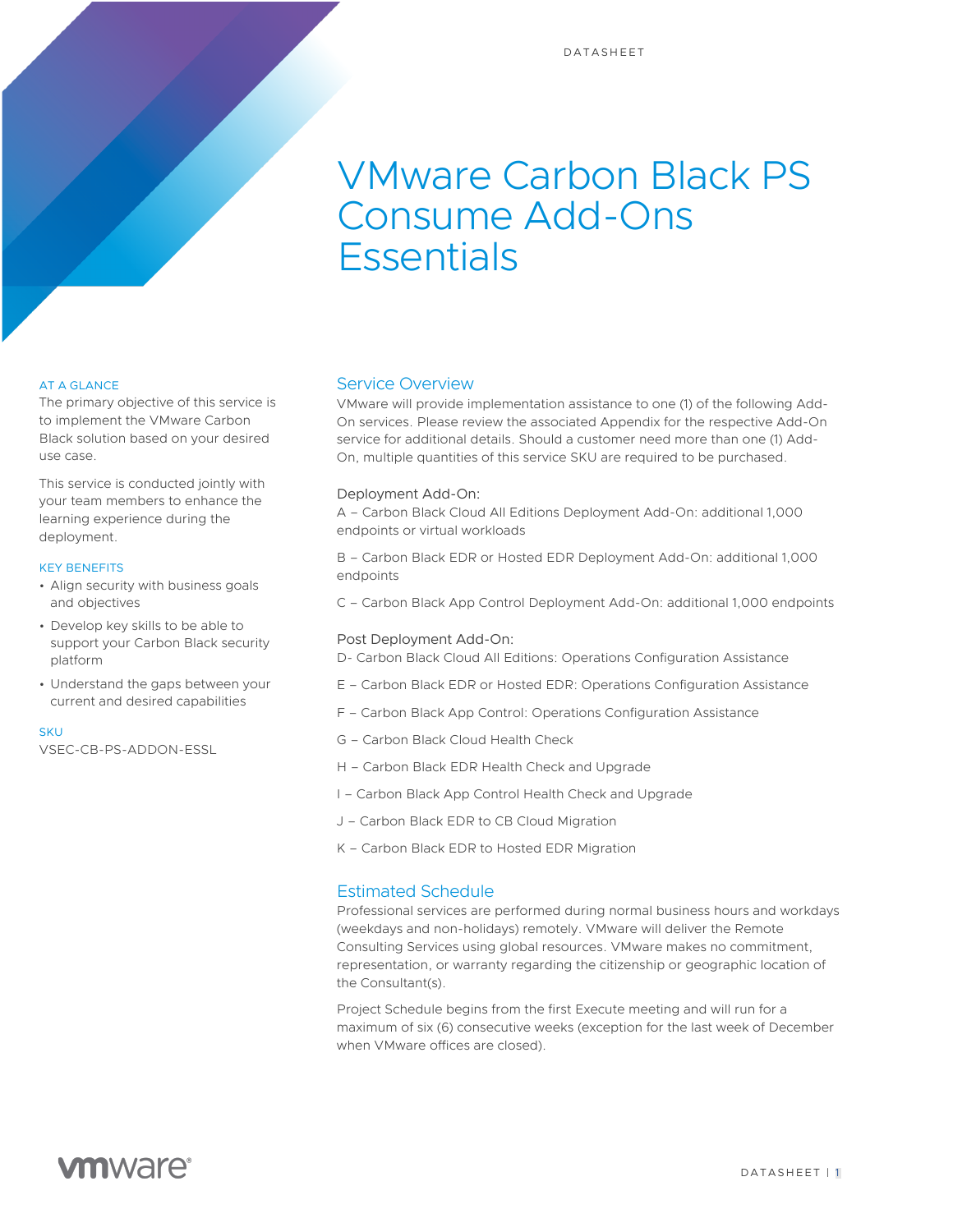# VMware Carbon Black PS Consume Add-Ons **Essentials**

#### AT A GLANCE

The primary objective of this service is to implement the VMware Carbon Black solution based on your desired use case.

This service is conducted jointly with your team members to enhance the learning experience during the deployment.

#### KEY BENEFITS

- Align security with business goals and objectives
- Develop key skills to be able to support your Carbon Black security platform
- Understand the gaps between your current and desired capabilities

#### **SKU**

VSEC-CB-PS-ADDON-ESSL

### Service Overview

VMware will provide implementation assistance to one (1) of the following Add-On services. Please review the associated Appendix for the respective Add-On service for additional details. Should a customer need more than one (1) Add-On, multiple quantities of this service SKU are required to be purchased.

#### Deployment Add-On:

A – Carbon Black Cloud All Editions Deployment Add-On: additional 1,000 endpoints or virtual workloads

B – Carbon Black EDR or Hosted EDR Deployment Add-On: additional 1,000 endpoints

C – Carbon Black App Control Deployment Add-On: additional 1,000 endpoints

#### Post Deployment Add-On:

D- Carbon Black Cloud All Editions: Operations Configuration Assistance

- E Carbon Black EDR or Hosted EDR: Operations Configuration Assistance
- F Carbon Black App Control: Operations Configuration Assistance
- G Carbon Black Cloud Health Check
- H Carbon Black EDR Health Check and Upgrade
- I Carbon Black App Control Health Check and Upgrade
- J Carbon Black EDR to CB Cloud Migration
- K Carbon Black EDR to Hosted EDR Migration

### Estimated Schedule

Professional services are performed during normal business hours and workdays (weekdays and non-holidays) remotely. VMware will deliver the Remote Consulting Services using global resources. VMware makes no commitment, representation, or warranty regarding the citizenship or geographic location of the Consultant(s).

Project Schedule begins from the first Execute meeting and will run for a maximum of six (6) consecutive weeks (exception for the last week of December when VMware offices are closed).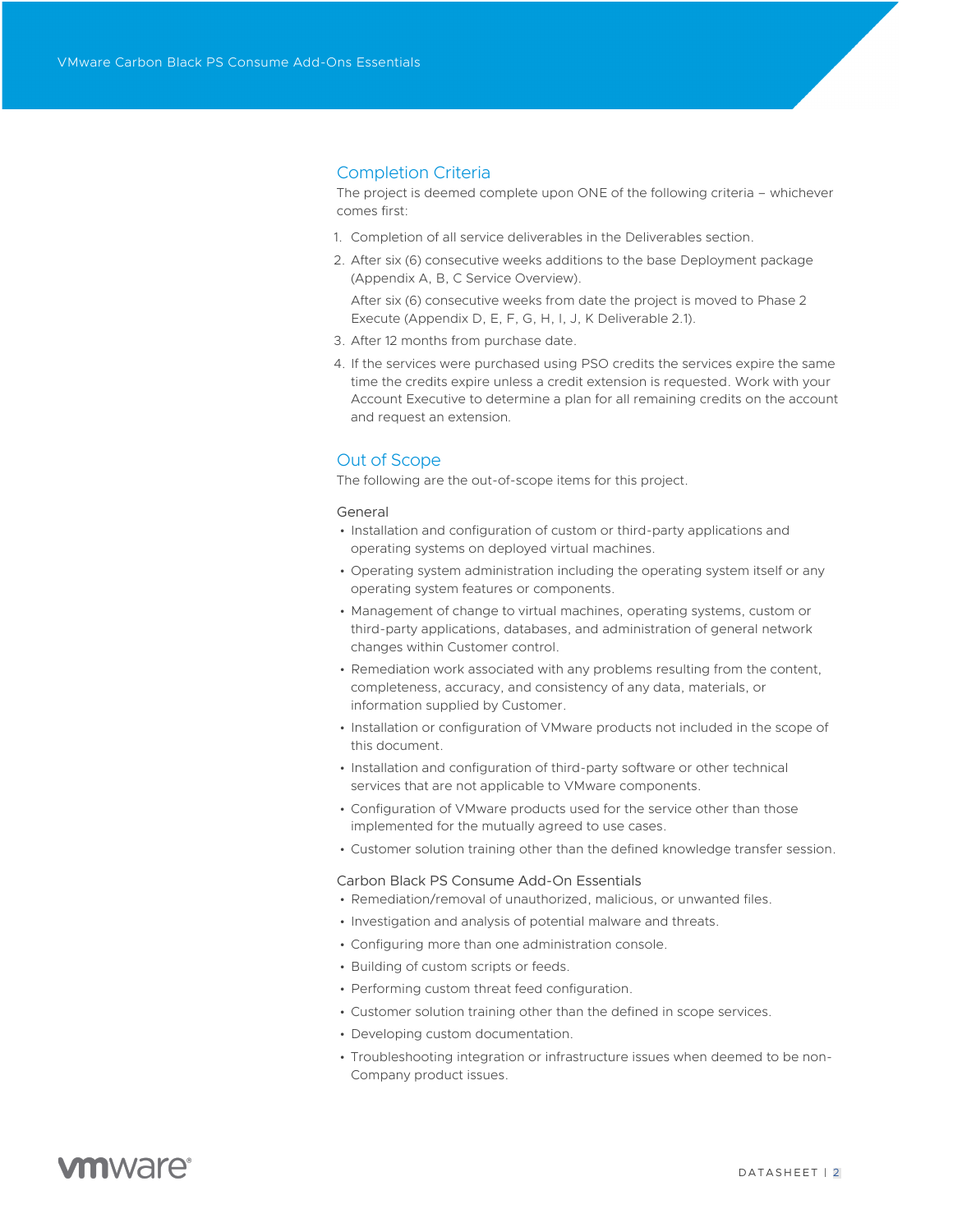### Completion Criteria

The project is deemed complete upon ONE of the following criteria – whichever comes first:

- 1. Completion of all service deliverables in the Deliverables section.
- 2. After six (6) consecutive weeks additions to the base Deployment package (Appendix A, B, C Service Overview).

After six (6) consecutive weeks from date the project is moved to Phase 2 Execute (Appendix D, E, F, G, H, I, J, K Deliverable 2.1).

- 3. After 12 months from purchase date.
- 4. If the services were purchased using PSO credits the services expire the same time the credits expire unless a credit extension is requested. Work with your Account Executive to determine a plan for all remaining credits on the account and request an extension*.*

### Out of Scope

The following are the out-of-scope items for this project.

#### General

- Installation and configuration of custom or third-party applications and operating systems on deployed virtual machines.
- Operating system administration including the operating system itself or any operating system features or components.
- Management of change to virtual machines, operating systems, custom or third-party applications, databases, and administration of general network changes within Customer control.
- Remediation work associated with any problems resulting from the content, completeness, accuracy, and consistency of any data, materials, or information supplied by Customer.
- Installation or configuration of VMware products not included in the scope of this document.
- Installation and configuration of third-party software or other technical services that are not applicable to VMware components.
- Configuration of VMware products used for the service other than those implemented for the mutually agreed to use cases.
- Customer solution training other than the defined knowledge transfer session.

#### Carbon Black PS Consume Add-On Essentials

- Remediation/removal of unauthorized, malicious, or unwanted files.
- Investigation and analysis of potential malware and threats.
- Configuring more than one administration console.
- Building of custom scripts or feeds.
- Performing custom threat feed configuration.
- Customer solution training other than the defined in scope services.
- Developing custom documentation.
- Troubleshooting integration or infrastructure issues when deemed to be non-Company product issues.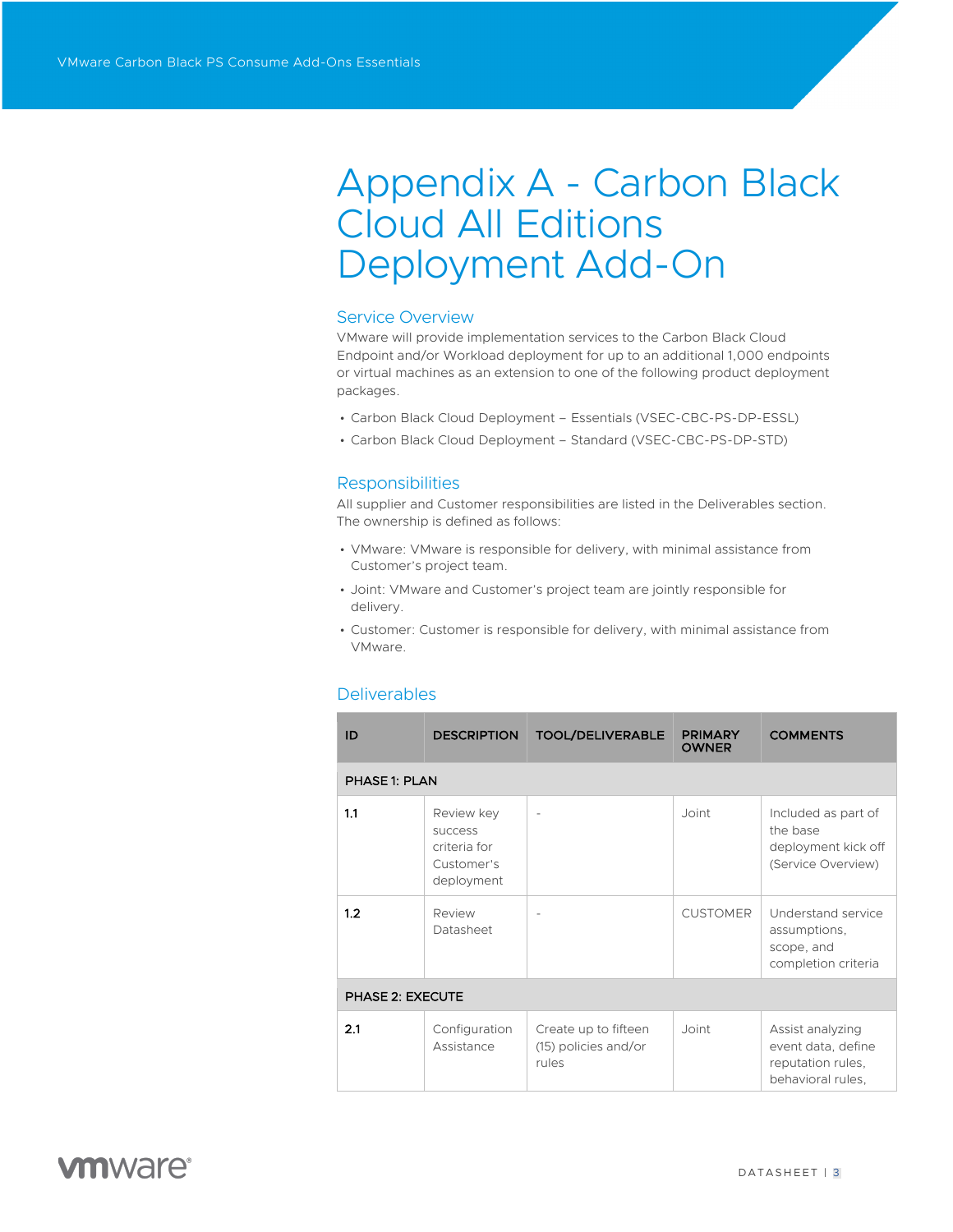# Appendix A - Carbon Black Cloud All Editions Deployment Add-On

### Service Overview

VMware will provide implementation services to the Carbon Black Cloud Endpoint and/or Workload deployment for up to an additional 1,000 endpoints or virtual machines as an extension to one of the following product deployment packages.

- Carbon Black Cloud Deployment Essentials (VSEC-CBC-PS-DP-ESSL)
- Carbon Black Cloud Deployment Standard (VSEC-CBC-PS-DP-STD)

### Responsibilities

All supplier and Customer responsibilities are listed in the Deliverables section. The ownership is defined as follows:

- VMware: VMware is responsible for delivery, with minimal assistance from Customer's project team.
- Joint: VMware and Customer's project team are jointly responsible for delivery.
- Customer: Customer is responsible for delivery, with minimal assistance from VMware.

### Deliverables

| ID                   | <b>DESCRIPTION</b>                                                       | <b>TOOL/DELIVERABLE</b>                               | <b>PRIMARY</b><br><b>OWNER</b> | <b>COMMENTS</b>                                                                  |  |  |
|----------------------|--------------------------------------------------------------------------|-------------------------------------------------------|--------------------------------|----------------------------------------------------------------------------------|--|--|
| <b>PHASE 1: PLAN</b> |                                                                          |                                                       |                                |                                                                                  |  |  |
| 1.1                  | Review key<br><b>SUCCESS</b><br>criteria for<br>Customer's<br>deployment |                                                       | Joint                          | Included as part of<br>the base<br>deployment kick off<br>(Service Overview)     |  |  |
| 1.2                  | Review<br>Datasheet                                                      |                                                       | <b>CUSTOMER</b>                | Understand service<br>assumptions,<br>scope, and<br>completion criteria          |  |  |
| PHASE 2: EXECUTE     |                                                                          |                                                       |                                |                                                                                  |  |  |
| 2.1                  | Configuration<br>Assistance                                              | Create up to fifteen<br>(15) policies and/or<br>rules | Joint                          | Assist analyzing<br>event data, define<br>reputation rules,<br>behavioral rules, |  |  |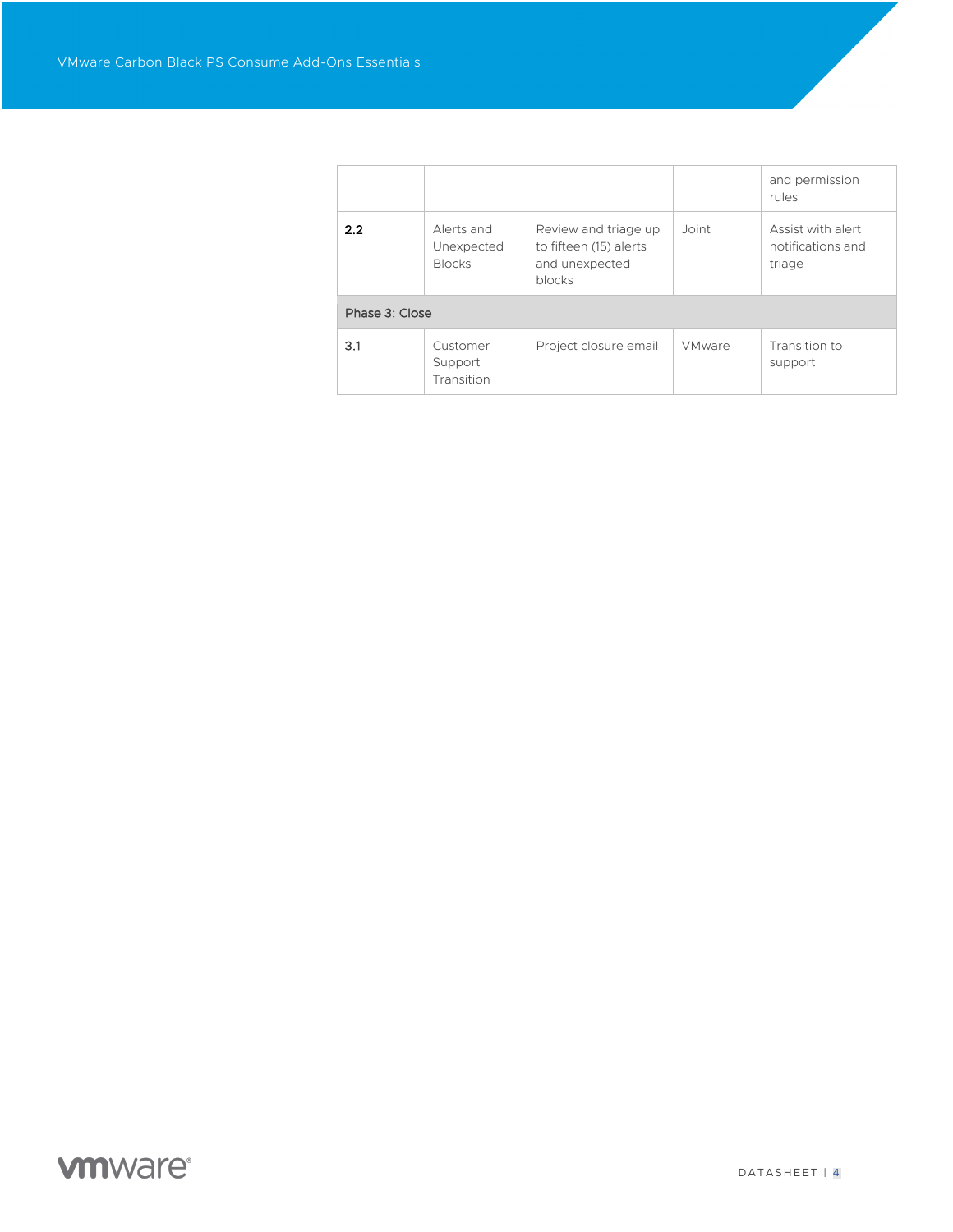|                |                                           |                                                                            |               | and permission<br>rules                          |
|----------------|-------------------------------------------|----------------------------------------------------------------------------|---------------|--------------------------------------------------|
| 2.2            | Alerts and<br>Unexpected<br><b>Blocks</b> | Review and triage up<br>to fifteen (15) alerts<br>and unexpected<br>blocks | Joint         | Assist with alert<br>notifications and<br>triage |
| Phase 3: Close |                                           |                                                                            |               |                                                  |
| 3.1            | Customer<br>Support<br>Transition         | Project closure email                                                      | <b>VMware</b> | Transition to<br>support                         |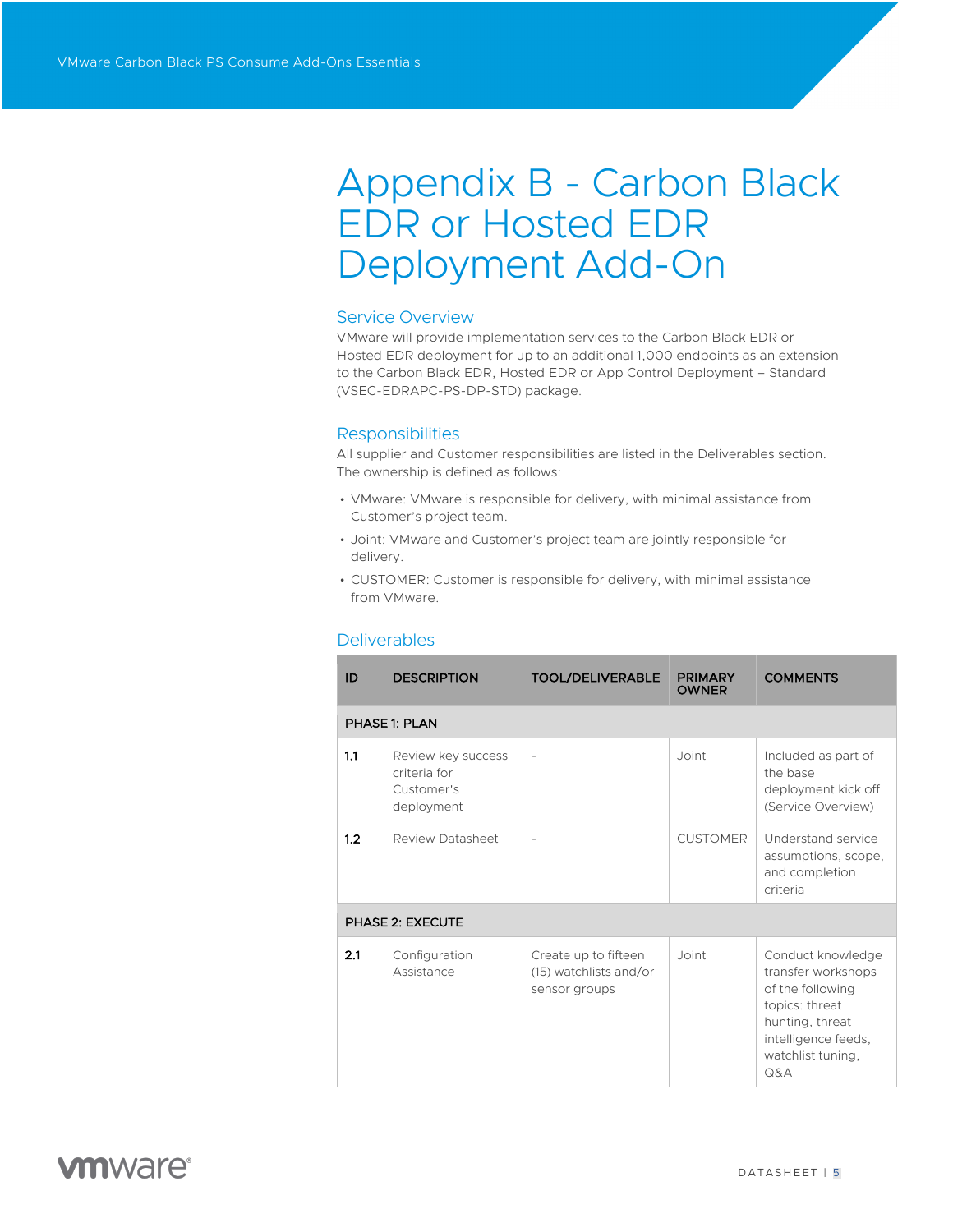# Appendix B - Carbon Black EDR or Hosted EDR Deployment Add-On

### Service Overview

VMware will provide implementation services to the Carbon Black EDR or Hosted EDR deployment for up to an additional 1,000 endpoints as an extension to the Carbon Black EDR, Hosted EDR or App Control Deployment – Standard (VSEC-EDRAPC-PS-DP-STD) package.

### **Responsibilities**

All supplier and Customer responsibilities are listed in the Deliverables section. The ownership is defined as follows:

- VMware: VMware is responsible for delivery, with minimal assistance from Customer's project team.
- Joint: VMware and Customer's project team are jointly responsible for delivery.
- CUSTOMER: Customer is responsible for delivery, with minimal assistance from VMware.

| ID  | <b>DESCRIPTION</b>                                             | <b>TOOL/DELIVERABLE</b>                                         | <b>PRIMARY</b><br><b>OWNER</b> | <b>COMMENTS</b>                                                                                                                                     |
|-----|----------------------------------------------------------------|-----------------------------------------------------------------|--------------------------------|-----------------------------------------------------------------------------------------------------------------------------------------------------|
|     | PHASE 1: PLAN                                                  |                                                                 |                                |                                                                                                                                                     |
| 1.1 | Review key success<br>criteria for<br>Customer's<br>deployment | $\qquad \qquad -$                                               | Joint                          | Included as part of<br>the base<br>deployment kick off<br>(Service Overview)                                                                        |
| 1.2 | Review Datasheet                                               | $\overline{a}$                                                  | <b>CUSTOMER</b>                | Understand service<br>assumptions, scope,<br>and completion<br>criteria                                                                             |
|     | <b>PHASE 2: EXECUTE</b>                                        |                                                                 |                                |                                                                                                                                                     |
| 2.1 | Configuration<br>Assistance                                    | Create up to fifteen<br>(15) watchlists and/or<br>sensor groups | Joint                          | Conduct knowledge<br>transfer workshops<br>of the following<br>topics: threat<br>hunting, threat<br>intelligence feeds,<br>watchlist tuning,<br>Q&A |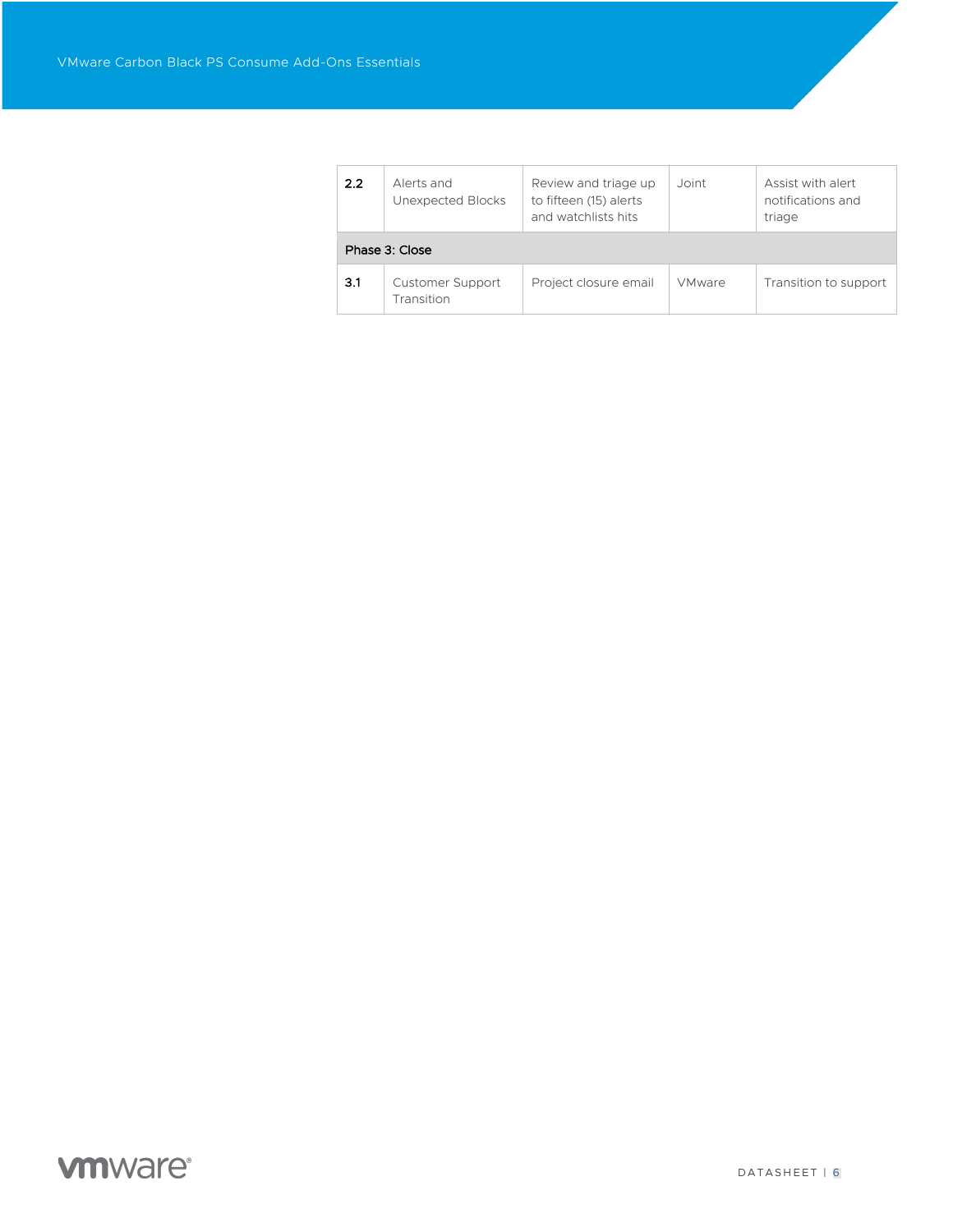| 2.2 | Alerts and<br>Unexpected Blocks       | Review and triage up<br>to fifteen (15) alerts<br>and watchlists hits | Joint         | Assist with alert<br>notifications and<br>triage |  |  |
|-----|---------------------------------------|-----------------------------------------------------------------------|---------------|--------------------------------------------------|--|--|
|     | Phase 3: Close                        |                                                                       |               |                                                  |  |  |
| 3.1 | <b>Customer Support</b><br>Transition | Project closure email                                                 | <b>VMware</b> | Transition to support                            |  |  |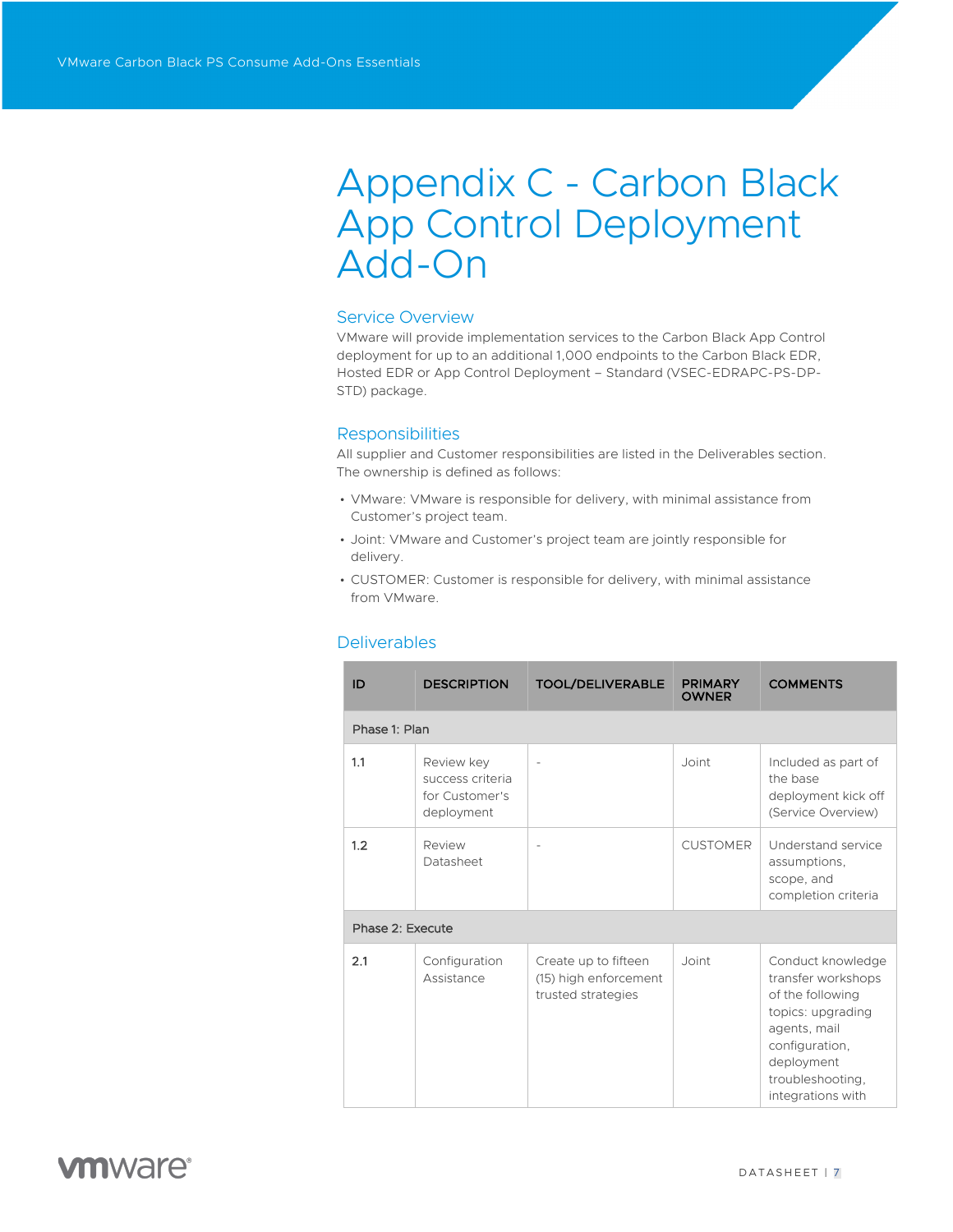# Appendix C - Carbon Black App Control Deployment Add-On

### Service Overview

VMware will provide implementation services to the Carbon Black App Control deployment for up to an additional 1,000 endpoints to the Carbon Black EDR, Hosted EDR or App Control Deployment – Standard (VSEC-EDRAPC-PS-DP-STD) package.

### **Responsibilities**

All supplier and Customer responsibilities are listed in the Deliverables section. The ownership is defined as follows:

- VMware: VMware is responsible for delivery, with minimal assistance from Customer's project team.
- Joint: VMware and Customer's project team are jointly responsible for delivery.
- CUSTOMER: Customer is responsible for delivery, with minimal assistance from VMware.

| ID               | <b>DESCRIPTION</b>                                             | <b>TOOL/DELIVERABLE</b>                                             | <b>PRIMARY</b><br><b>OWNER</b> | <b>COMMENTS</b>                                                                                                                                                           |
|------------------|----------------------------------------------------------------|---------------------------------------------------------------------|--------------------------------|---------------------------------------------------------------------------------------------------------------------------------------------------------------------------|
| Phase 1: Plan    |                                                                |                                                                     |                                |                                                                                                                                                                           |
| 1.1              | Review key<br>success criteria<br>for Customer's<br>deployment | ÷                                                                   | Joint                          | Included as part of<br>the base<br>deployment kick off<br>(Service Overview)                                                                                              |
| 1.2              | Review<br>Datasheet                                            |                                                                     | <b>CUSTOMER</b>                | <b>Understand service</b><br>assumptions.<br>scope, and<br>completion criteria                                                                                            |
| Phase 2: Execute |                                                                |                                                                     |                                |                                                                                                                                                                           |
| 2.1              | Configuration<br>Assistance                                    | Create up to fifteen<br>(15) high enforcement<br>trusted strategies | Joint                          | Conduct knowledge<br>transfer workshops<br>of the following<br>topics: upgrading<br>agents, mail<br>configuration,<br>deployment<br>troubleshooting,<br>integrations with |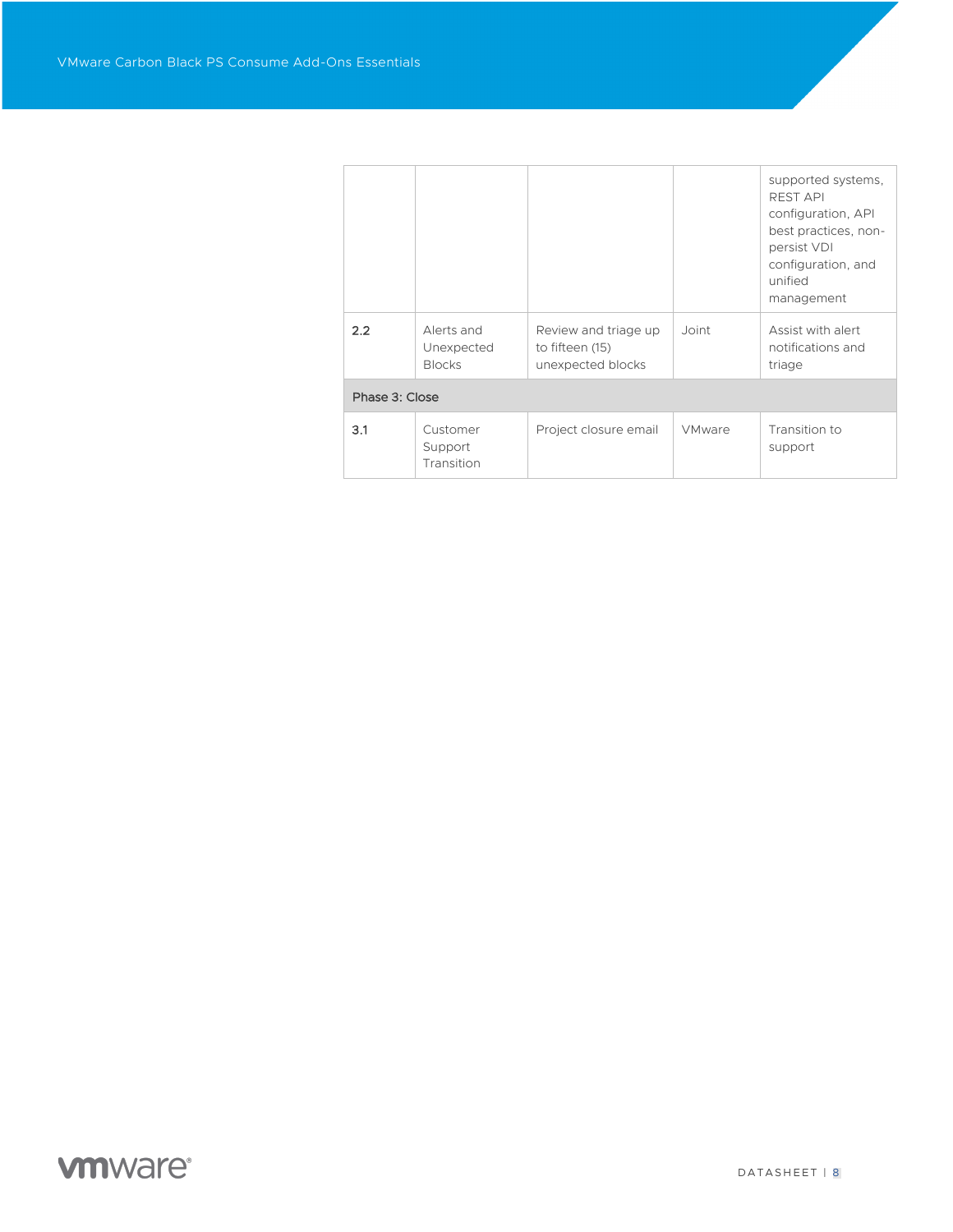|                |                                           |                                                              |               | supported systems,<br><b>REST API</b><br>configuration, API<br>best practices, non-<br>persist VDI<br>configuration, and<br>unified<br>management |
|----------------|-------------------------------------------|--------------------------------------------------------------|---------------|---------------------------------------------------------------------------------------------------------------------------------------------------|
| 2.2            | Alerts and<br>Unexpected<br><b>Blocks</b> | Review and triage up<br>to fifteen (15)<br>unexpected blocks | Joint         | Assist with alert<br>notifications and<br>triage                                                                                                  |
| Phase 3: Close |                                           |                                                              |               |                                                                                                                                                   |
| 3.1            | Customer<br>Support<br>Transition         | Project closure email                                        | <b>VMware</b> | Transition to<br>support                                                                                                                          |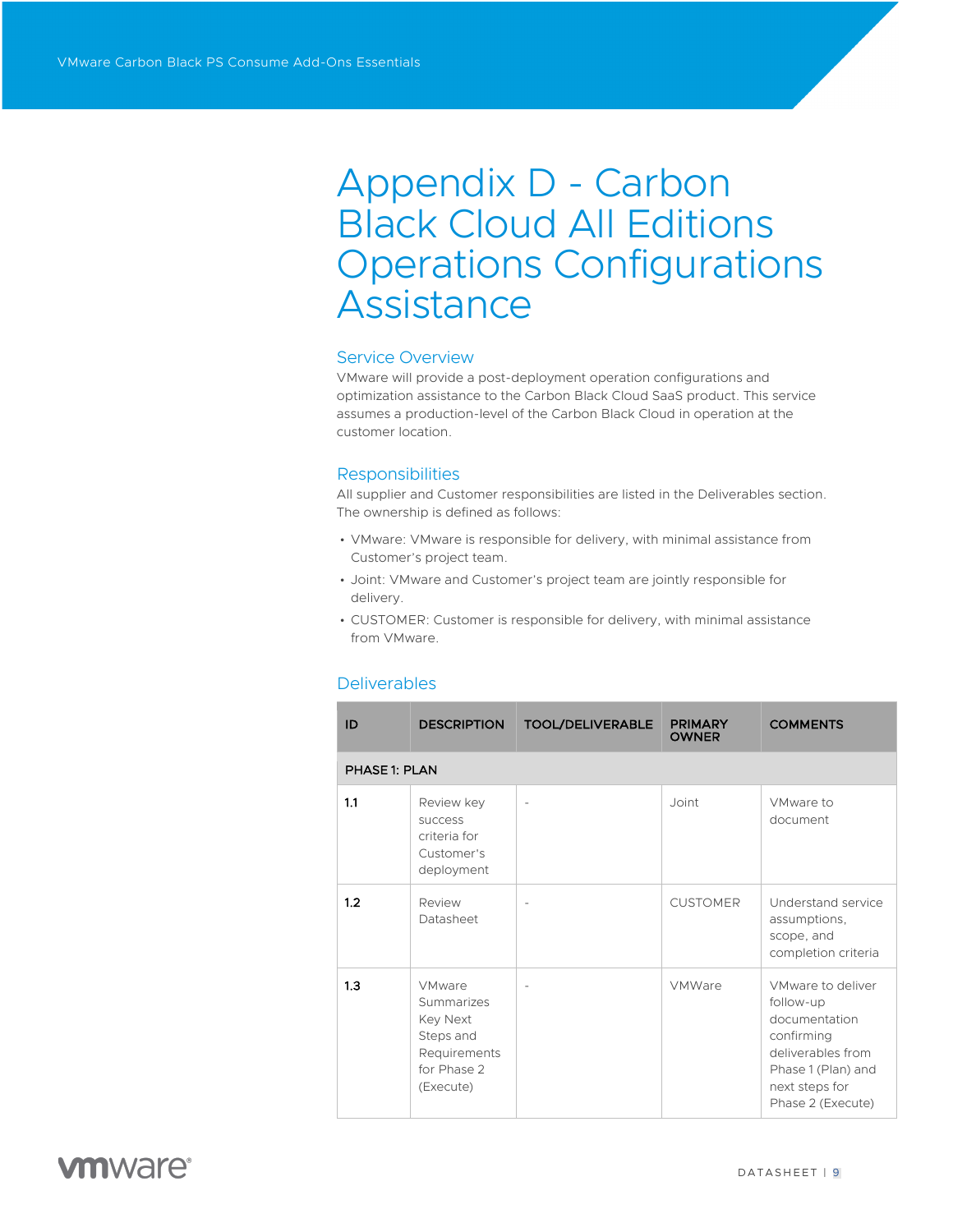# Appendix D - Carbon Black Cloud All Editions Operations Configurations Assistance

### Service Overview

VMware will provide a post-deployment operation configurations and optimization assistance to the Carbon Black Cloud SaaS product. This service assumes a production-level of the Carbon Black Cloud in operation at the customer location.

### **Responsibilities**

All supplier and Customer responsibilities are listed in the Deliverables section. The ownership is defined as follows:

- VMware: VMware is responsible for delivery, with minimal assistance from Customer's project team.
- Joint: VMware and Customer's project team are jointly responsible for delivery.
- CUSTOMER: Customer is responsible for delivery, with minimal assistance from VMware.

| ID            | <b>DESCRIPTION</b>                                                                                      | <b>TOOL/DELIVERABLE</b>  | <b>PRIMARY</b><br><b>OWNER</b> | <b>COMMENTS</b>                                                                                                                                 |
|---------------|---------------------------------------------------------------------------------------------------------|--------------------------|--------------------------------|-------------------------------------------------------------------------------------------------------------------------------------------------|
| PHASE 1: PLAN |                                                                                                         |                          |                                |                                                                                                                                                 |
| 1.1           | Review key<br><b>SUCCeSS</b><br>criteria for<br>Customer's<br>deployment                                | $\overline{\phantom{a}}$ | Joint                          | VMware to<br>document                                                                                                                           |
| 1.2           | Review<br>Datasheet                                                                                     |                          | <b>CUSTOMER</b>                | Understand service<br>assumptions,<br>scope, and<br>completion criteria                                                                         |
| 1.3           | <b>VMware</b><br>Summarizes<br><b>Key Next</b><br>Steps and<br>Requirements<br>for Phase 2<br>(Execute) |                          | VMWare                         | VMware to deliver<br>follow-up<br>documentation<br>confirming<br>deliverables from<br>Phase 1 (Plan) and<br>next steps for<br>Phase 2 (Execute) |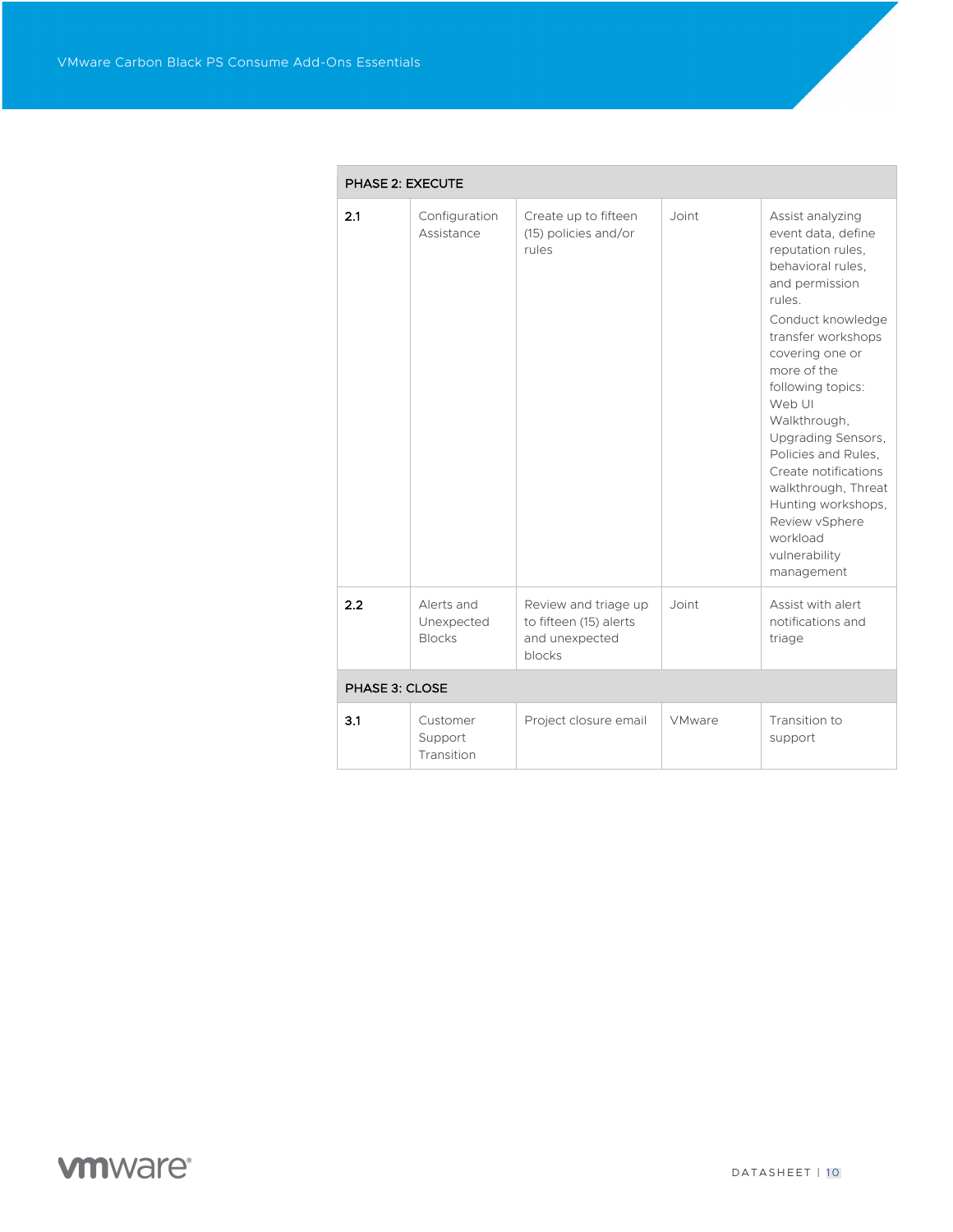|                | <b>PHASE 2: EXECUTE</b>                   |                                                                            |               |                                                                                                                                                                                                                                                                                                                                                                                                                         |
|----------------|-------------------------------------------|----------------------------------------------------------------------------|---------------|-------------------------------------------------------------------------------------------------------------------------------------------------------------------------------------------------------------------------------------------------------------------------------------------------------------------------------------------------------------------------------------------------------------------------|
| 2.1            | Configuration<br>Assistance               | Create up to fifteen<br>(15) policies and/or<br>rules                      | Joint         | Assist analyzing<br>event data, define<br>reputation rules,<br>behavioral rules.<br>and permission<br>rules.<br>Conduct knowledge<br>transfer workshops<br>covering one or<br>more of the<br>following topics:<br>Web UI<br>Walkthrough,<br>Upgrading Sensors,<br>Policies and Rules.<br>Create notifications<br>walkthrough, Threat<br>Hunting workshops,<br>Review vSphere<br>workload<br>vulnerability<br>management |
| 2.2            | Alerts and<br>Unexpected<br><b>Blocks</b> | Review and triage up<br>to fifteen (15) alerts<br>and unexpected<br>blocks | Joint         | Assist with alert<br>notifications and<br>triage                                                                                                                                                                                                                                                                                                                                                                        |
| PHASE 3: CLOSE |                                           |                                                                            |               |                                                                                                                                                                                                                                                                                                                                                                                                                         |
| 3.1            | Customer<br>Support<br>Transition         | Project closure email                                                      | <b>VMware</b> | Transition to<br>support                                                                                                                                                                                                                                                                                                                                                                                                |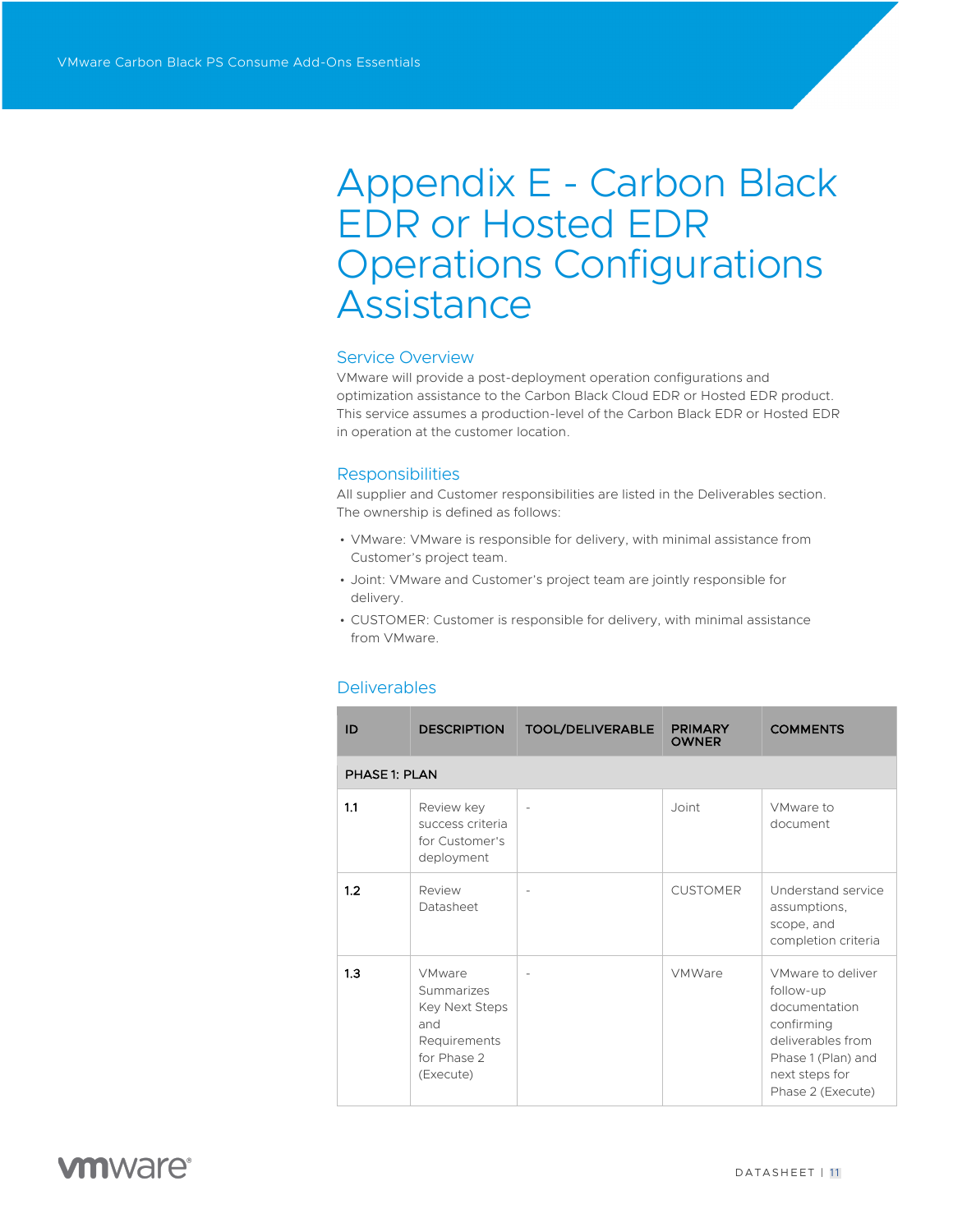# Appendix E - Carbon Black EDR or Hosted EDR Operations Configurations Assistance

### Service Overview

VMware will provide a post-deployment operation configurations and optimization assistance to the Carbon Black Cloud EDR or Hosted EDR product. This service assumes a production-level of the Carbon Black EDR or Hosted EDR in operation at the customer location.

### **Responsibilities**

All supplier and Customer responsibilities are listed in the Deliverables section. The ownership is defined as follows:

- VMware: VMware is responsible for delivery, with minimal assistance from Customer's project team.
- Joint: VMware and Customer's project team are jointly responsible for delivery.
- CUSTOMER: Customer is responsible for delivery, with minimal assistance from VMware.

### **Deliverables**

| ID                   | <b>DESCRIPTION</b>                                                                                      | <b>TOOL/DELIVERABLE</b> | <b>PRIMARY</b><br><b>OWNER</b> | <b>COMMENTS</b>                                                                                                                                 |
|----------------------|---------------------------------------------------------------------------------------------------------|-------------------------|--------------------------------|-------------------------------------------------------------------------------------------------------------------------------------------------|
| <b>PHASE 1: PLAN</b> |                                                                                                         |                         |                                |                                                                                                                                                 |
| 1.1                  | Review key<br>success criteria<br>for Customer's<br>deployment                                          |                         | Joint                          | VMware to<br>document                                                                                                                           |
| 1.2                  | Review<br>Datasheet                                                                                     |                         | <b>CUSTOMER</b>                | Understand service<br>assumptions,<br>scope, and<br>completion criteria                                                                         |
| 1.3                  | <b>VMware</b><br>Summarizes<br><b>Key Next Steps</b><br>and<br>Requirements<br>for Phase 2<br>(Execute) |                         | <b>VMWare</b>                  | VMware to deliver<br>follow-up<br>documentation<br>confirming<br>deliverables from<br>Phase 1 (Plan) and<br>next steps for<br>Phase 2 (Execute) |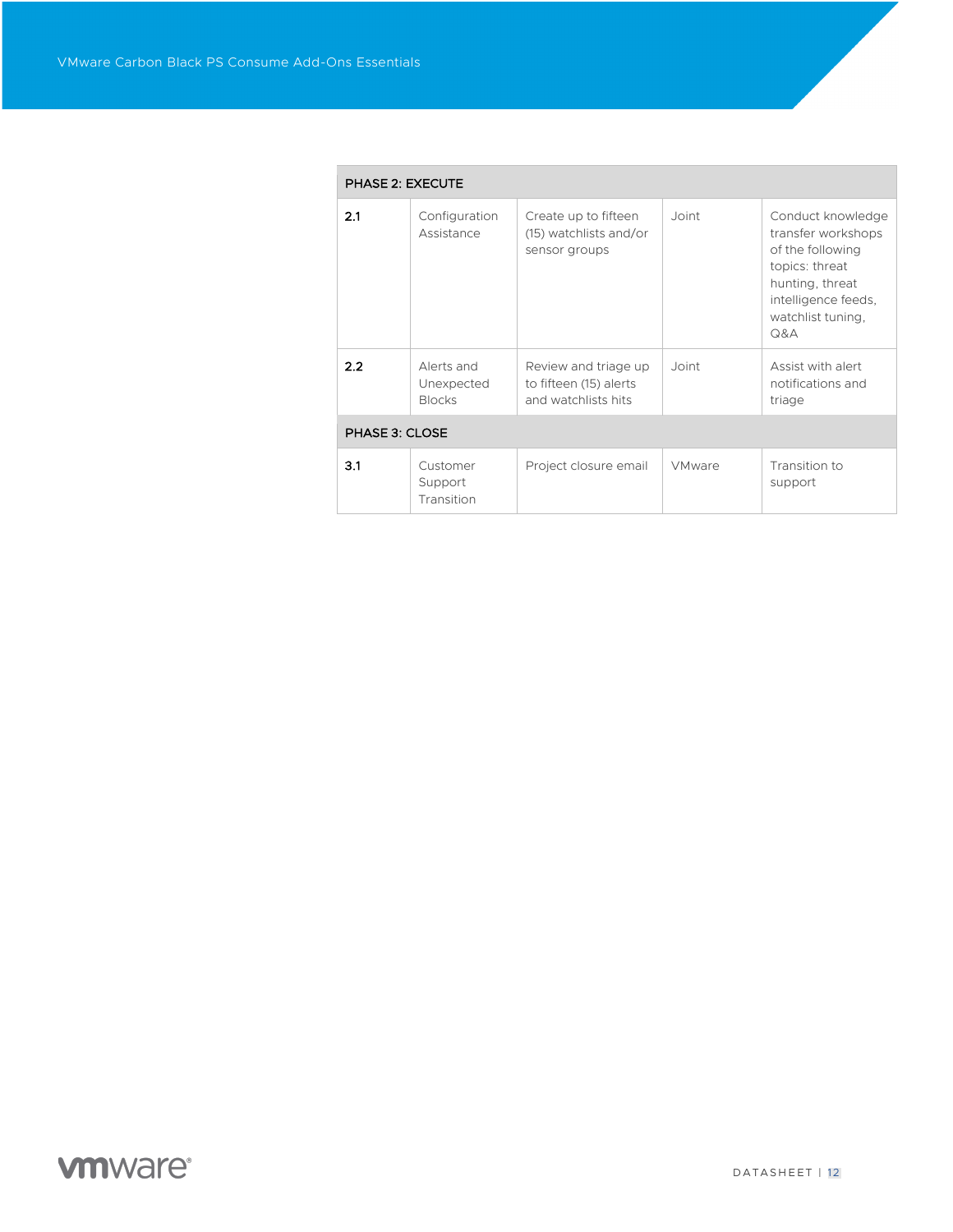| <b>PHASE 2: EXECUTE</b> |                                           |                                                                       |               |                                                                                                                                                     |
|-------------------------|-------------------------------------------|-----------------------------------------------------------------------|---------------|-----------------------------------------------------------------------------------------------------------------------------------------------------|
| 2.1                     | Configuration<br>Assistance               | Create up to fifteen<br>(15) watchlists and/or<br>sensor groups       | Joint         | Conduct knowledge<br>transfer workshops<br>of the following<br>topics: threat<br>hunting, threat<br>intelligence feeds,<br>watchlist tuning,<br>Q&A |
| 2.2                     | Alerts and<br>Unexpected<br><b>Blocks</b> | Review and triage up<br>to fifteen (15) alerts<br>and watchlists hits | Joint         | Assist with alert<br>notifications and<br>triage                                                                                                    |
| PHASE 3: CLOSE          |                                           |                                                                       |               |                                                                                                                                                     |
| 3.1                     | Customer<br>Support<br>Transition         | Project closure email                                                 | <b>VMware</b> | Transition to<br>support                                                                                                                            |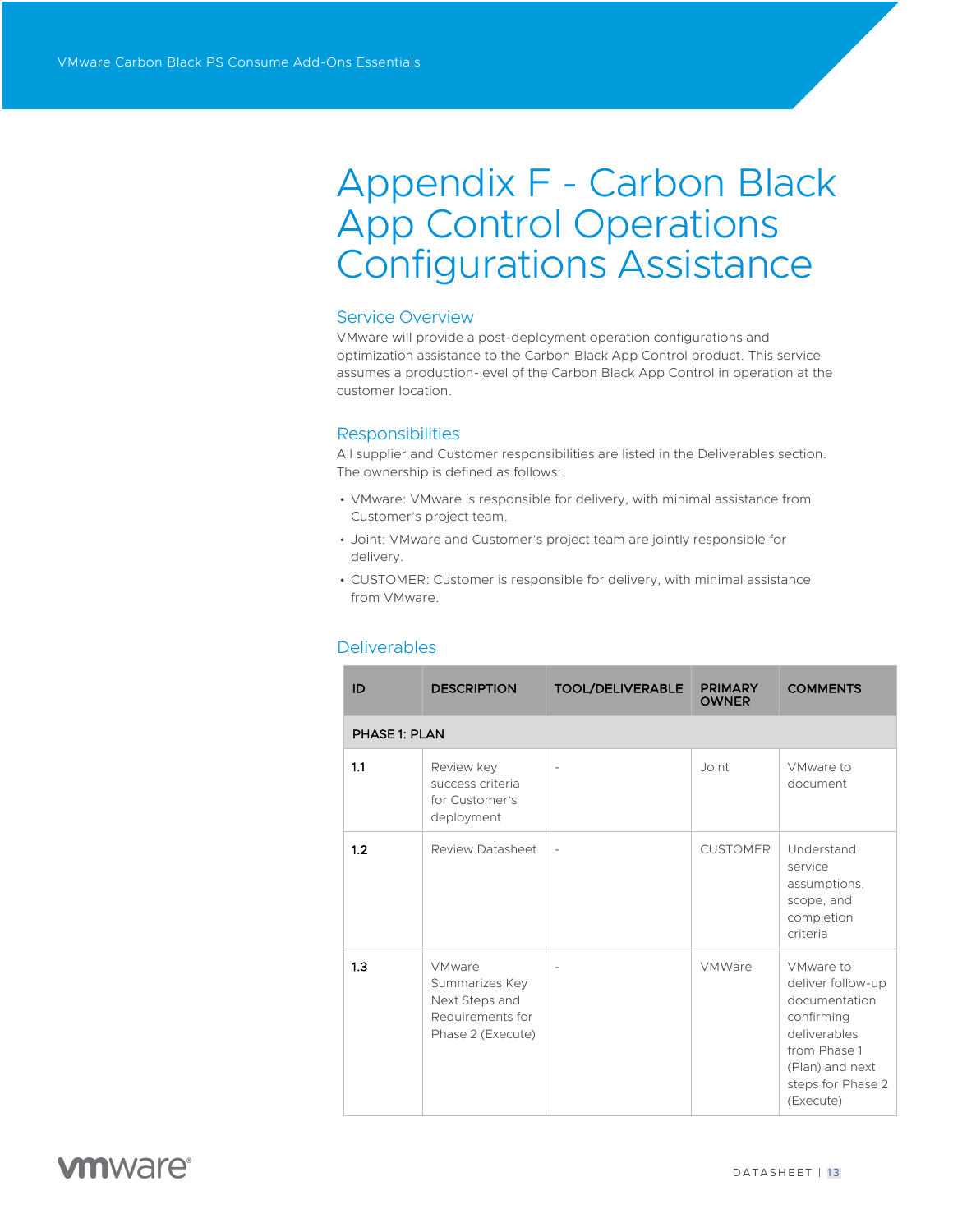# Appendix F - Carbon Black App Control Operations Configurations Assistance

### Service Overview

VMware will provide a post-deployment operation configurations and optimization assistance to the Carbon Black App Control product. This service assumes a production-level of the Carbon Black App Control in operation at the customer location.

### **Responsibilities**

All supplier and Customer responsibilities are listed in the Deliverables section. The ownership is defined as follows:

- VMware: VMware is responsible for delivery, with minimal assistance from Customer's project team.
- Joint: VMware and Customer's project team are jointly responsible for delivery.
- CUSTOMER: Customer is responsible for delivery, with minimal assistance from VMware.

| ID                   | <b>DESCRIPTION</b>                                                                         | <b>TOOL/DELIVERABLE</b> | <b>PRIMARY</b><br><b>OWNER</b> | <b>COMMENTS</b>                                                                                                                                    |
|----------------------|--------------------------------------------------------------------------------------------|-------------------------|--------------------------------|----------------------------------------------------------------------------------------------------------------------------------------------------|
| <b>PHASE 1: PLAN</b> |                                                                                            |                         |                                |                                                                                                                                                    |
| 1.1                  | Review key<br>success criteria<br>for Customer's<br>deployment                             | $\overline{a}$          | Joint                          | VMware to<br>document                                                                                                                              |
| 1.2                  | Review Datasheet                                                                           | ÷,                      | <b>CUSTOMER</b>                | Understand<br>service<br>assumptions,<br>scope, and<br>completion<br>criteria                                                                      |
| 1.3                  | <b>VMware</b><br>Summarizes Key<br>Next Steps and<br>Requirements for<br>Phase 2 (Execute) |                         | <b>VMWare</b>                  | VMware to<br>deliver follow-up<br>documentation<br>confirming<br>deliverables<br>from Phase 1<br>(Plan) and next<br>steps for Phase 2<br>(Execute) |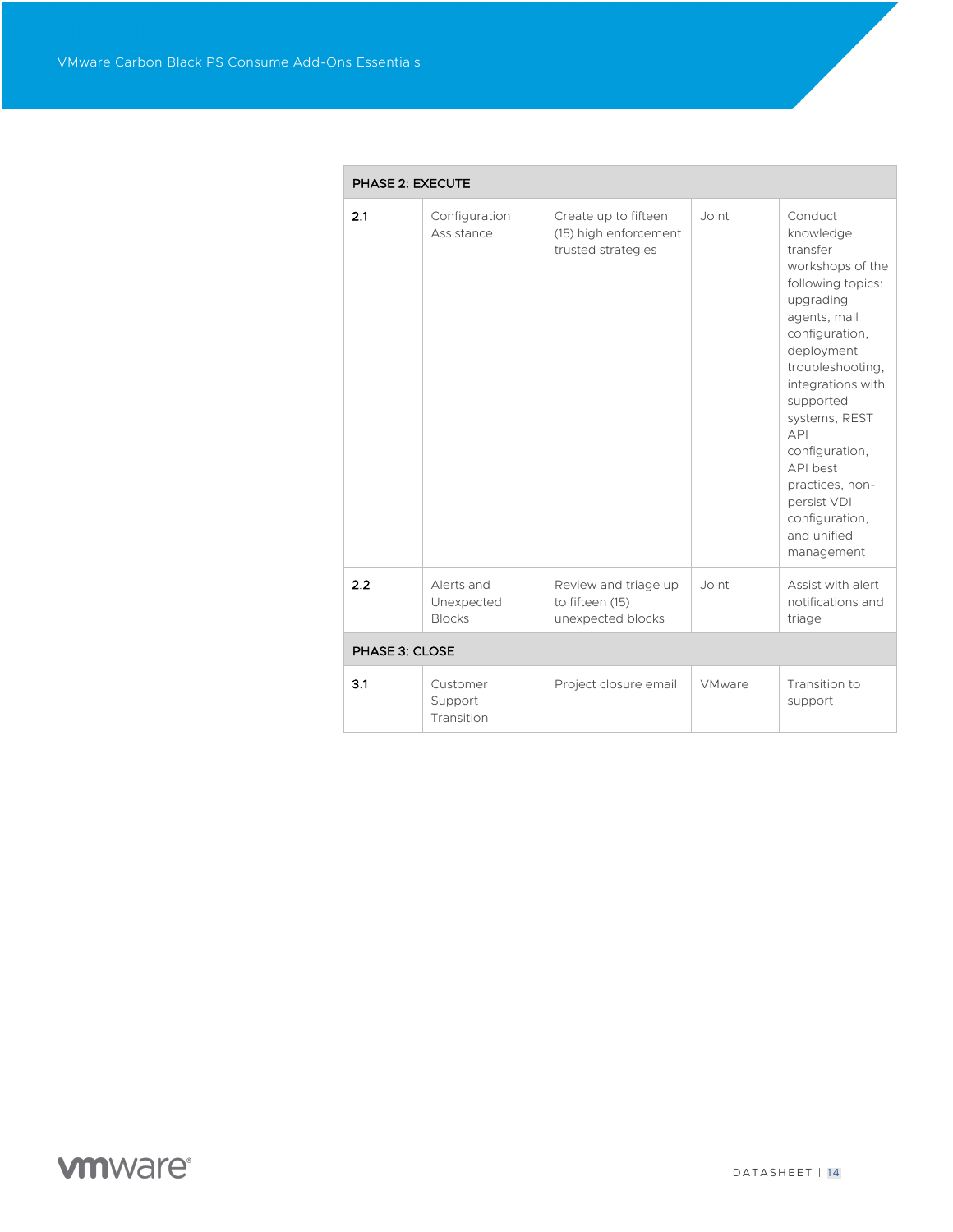|                | <b>PHASE 2: EXECUTE</b>                   |                                                                     |               |                                                                                                                                                                                                                                                                                                                                     |  |
|----------------|-------------------------------------------|---------------------------------------------------------------------|---------------|-------------------------------------------------------------------------------------------------------------------------------------------------------------------------------------------------------------------------------------------------------------------------------------------------------------------------------------|--|
| 2.1            | Configuration<br>Assistance               | Create up to fifteen<br>(15) high enforcement<br>trusted strategies | Joint         | Conduct<br>knowledge<br>transfer<br>workshops of the<br>following topics:<br>upgrading<br>agents, mail<br>configuration,<br>deployment<br>troubleshooting,<br>integrations with<br>supported<br>systems, REST<br>API<br>configuration,<br>API best<br>practices, non-<br>persist VDI<br>configuration,<br>and unified<br>management |  |
| 2.2            | Alerts and<br>Unexpected<br><b>Blocks</b> | Review and triage up<br>to fifteen (15)<br>unexpected blocks        | Joint         | Assist with alert<br>notifications and<br>triage                                                                                                                                                                                                                                                                                    |  |
| PHASE 3: CLOSE |                                           |                                                                     |               |                                                                                                                                                                                                                                                                                                                                     |  |
| 3.1            | Customer<br>Support<br>Transition         | Project closure email                                               | <b>VMware</b> | Transition to<br>support                                                                                                                                                                                                                                                                                                            |  |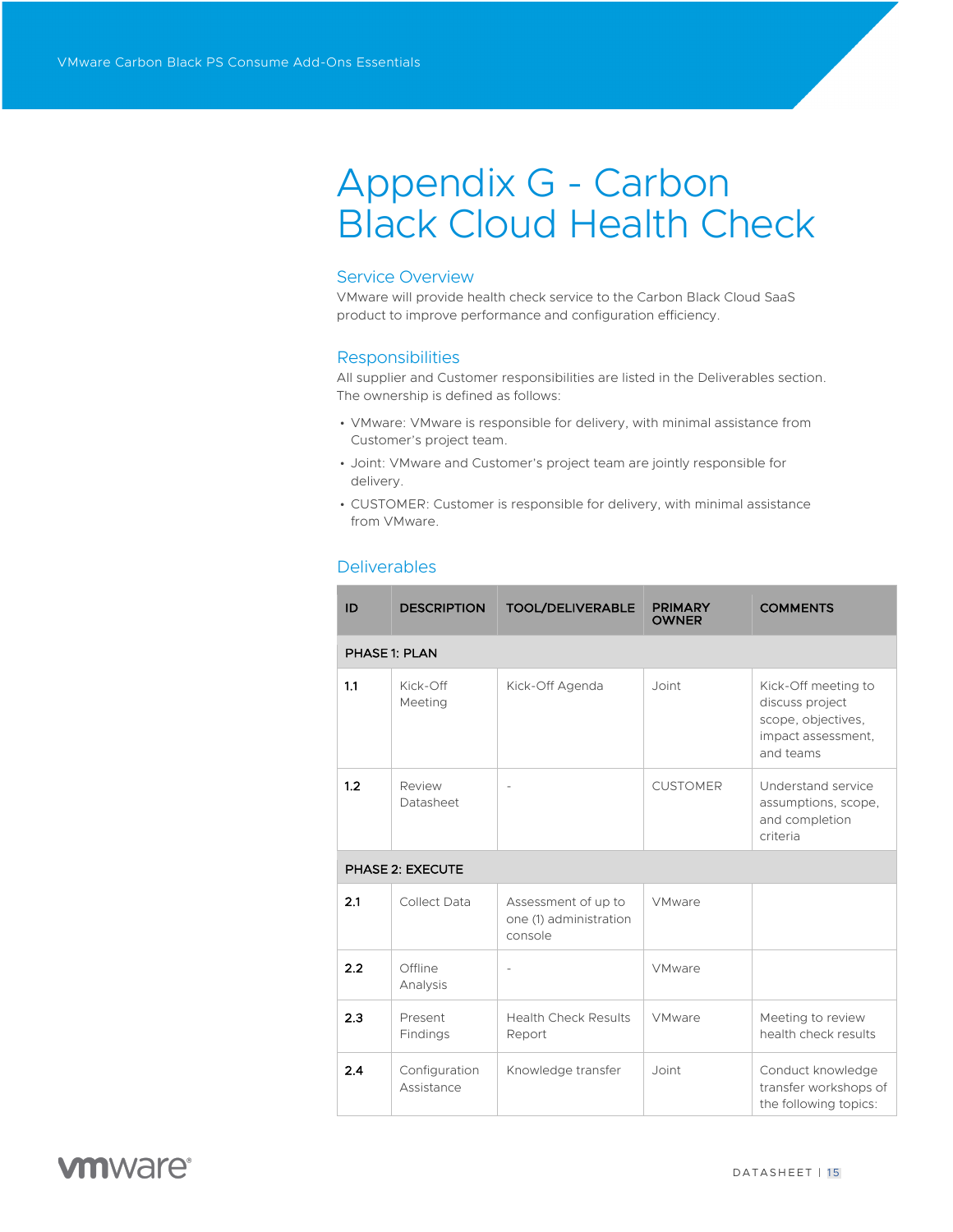# Appendix G - Carbon Black Cloud Health Check

### Service Overview

VMware will provide health check service to the Carbon Black Cloud SaaS product to improve performance and configuration efficiency.

### **Responsibilities**

All supplier and Customer responsibilities are listed in the Deliverables section. The ownership is defined as follows:

- VMware: VMware is responsible for delivery, with minimal assistance from Customer's project team.
- Joint: VMware and Customer's project team are jointly responsible for delivery.
- CUSTOMER: Customer is responsible for delivery, with minimal assistance from VMware.

| ID  | <b>DESCRIPTION</b>          | <b>TOOL/DELIVERABLE</b>                                  | <b>PRIMARY</b><br><b>OWNER</b> | <b>COMMENTS</b>                                                                                 |
|-----|-----------------------------|----------------------------------------------------------|--------------------------------|-------------------------------------------------------------------------------------------------|
|     | <b>PHASE 1: PLAN</b>        |                                                          |                                |                                                                                                 |
| 1.1 | Kick-Off<br>Meeting         | Kick-Off Agenda                                          | Joint                          | Kick-Off meeting to<br>discuss project<br>scope, objectives,<br>impact assessment,<br>and teams |
| 1.2 | Review<br>Datasheet         |                                                          | <b>CUSTOMER</b>                | Understand service<br>assumptions, scope,<br>and completion<br>criteria                         |
|     | <b>PHASE 2: EXECUTE</b>     |                                                          |                                |                                                                                                 |
| 2.1 | Collect Data                | Assessment of up to<br>one (1) administration<br>console | <b>VMware</b>                  |                                                                                                 |
| 2.2 | Offline<br>Analysis         | ÷                                                        | <b>VMware</b>                  |                                                                                                 |
| 2.3 | Present<br>Findings         | <b>Health Check Results</b><br>Report                    | VMware                         | Meeting to review<br>health check results                                                       |
| 2.4 | Configuration<br>Assistance | Knowledge transfer                                       | Joint                          | Conduct knowledge<br>transfer workshops of<br>the following topics:                             |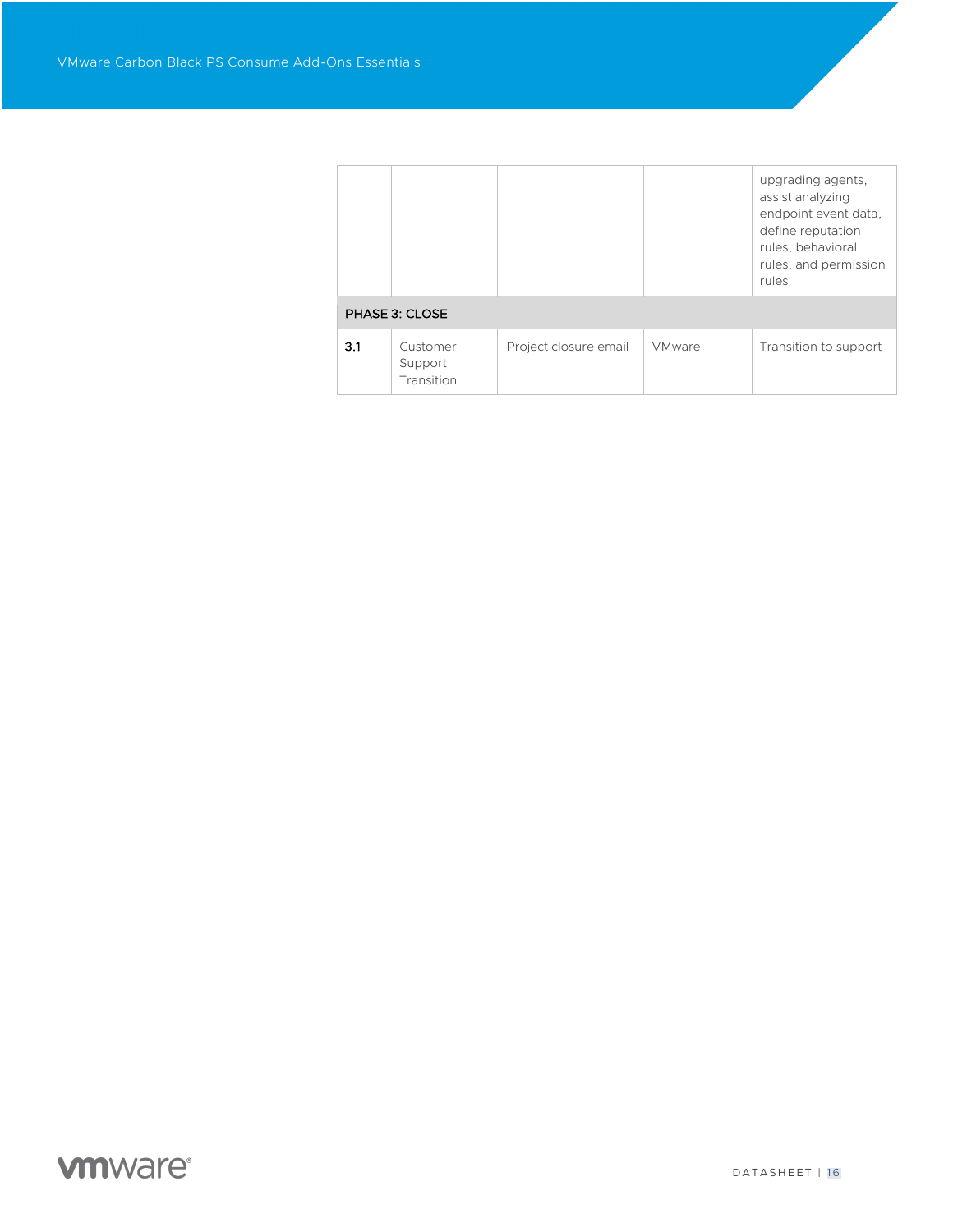|     |                                   |                       |               | upgrading agents,<br>assist analyzing<br>endpoint event data,<br>define reputation<br>rules, behavioral<br>rules, and permission<br>rules |  |  |  |
|-----|-----------------------------------|-----------------------|---------------|-------------------------------------------------------------------------------------------------------------------------------------------|--|--|--|
|     | PHASE 3: CLOSE                    |                       |               |                                                                                                                                           |  |  |  |
| 3.1 | Customer<br>Support<br>Transition | Project closure email | <b>VMware</b> | Transition to support                                                                                                                     |  |  |  |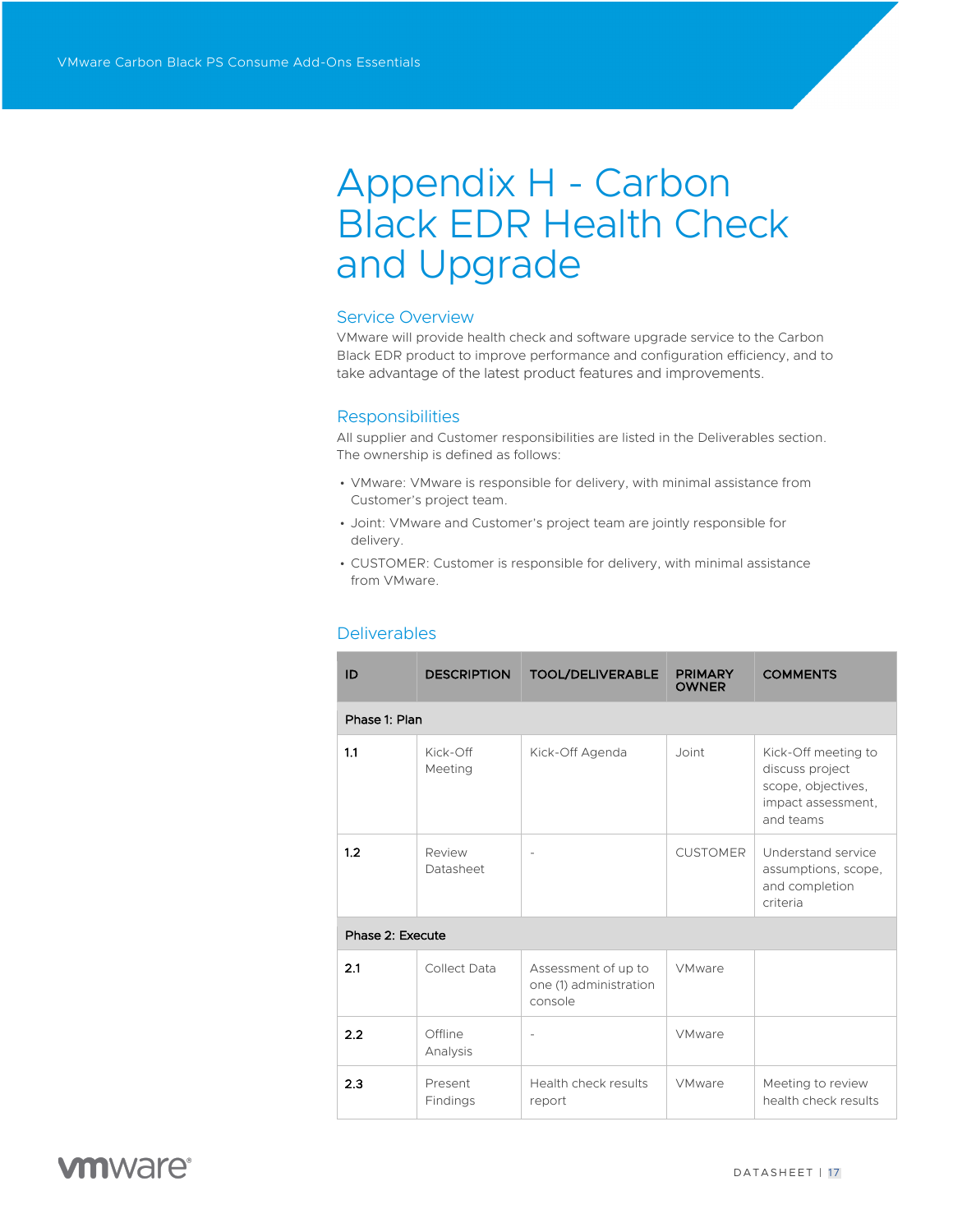# Appendix H - Carbon Black EDR Health Check and Upgrade

### Service Overview

VMware will provide health check and software upgrade service to the Carbon Black EDR product to improve performance and configuration efficiency, and to take advantage of the latest product features and improvements.

### **Responsibilities**

All supplier and Customer responsibilities are listed in the Deliverables section. The ownership is defined as follows:

- VMware: VMware is responsible for delivery, with minimal assistance from Customer's project team.
- Joint: VMware and Customer's project team are jointly responsible for delivery.
- CUSTOMER: Customer is responsible for delivery, with minimal assistance from VMware.

### Deliverables

| ID               | <b>DESCRIPTION</b>  | <b>TOOL/DELIVERABLE</b>                                  | <b>PRIMARY</b><br><b>OWNER</b> | <b>COMMENTS</b>                                                                                 |
|------------------|---------------------|----------------------------------------------------------|--------------------------------|-------------------------------------------------------------------------------------------------|
| Phase 1: Plan    |                     |                                                          |                                |                                                                                                 |
| 1.1              | Kick-Off<br>Meeting | Kick-Off Agenda                                          | Joint                          | Kick-Off meeting to<br>discuss project<br>scope, objectives,<br>impact assessment,<br>and teams |
| 1.2              | Review<br>Datasheet | $\overline{\phantom{a}}$                                 | <b>CUSTOMER</b>                | Understand service<br>assumptions, scope,<br>and completion<br>criteria                         |
| Phase 2: Execute |                     |                                                          |                                |                                                                                                 |
| 2.1              | Collect Data        | Assessment of up to<br>one (1) administration<br>console | <b>VMware</b>                  |                                                                                                 |
| 2.2              | Offline<br>Analysis | ٠                                                        | <b>VMware</b>                  |                                                                                                 |
| 2.3              | Present<br>Findings | Health check results<br>report                           | <b>VMware</b>                  | Meeting to review<br>health check results                                                       |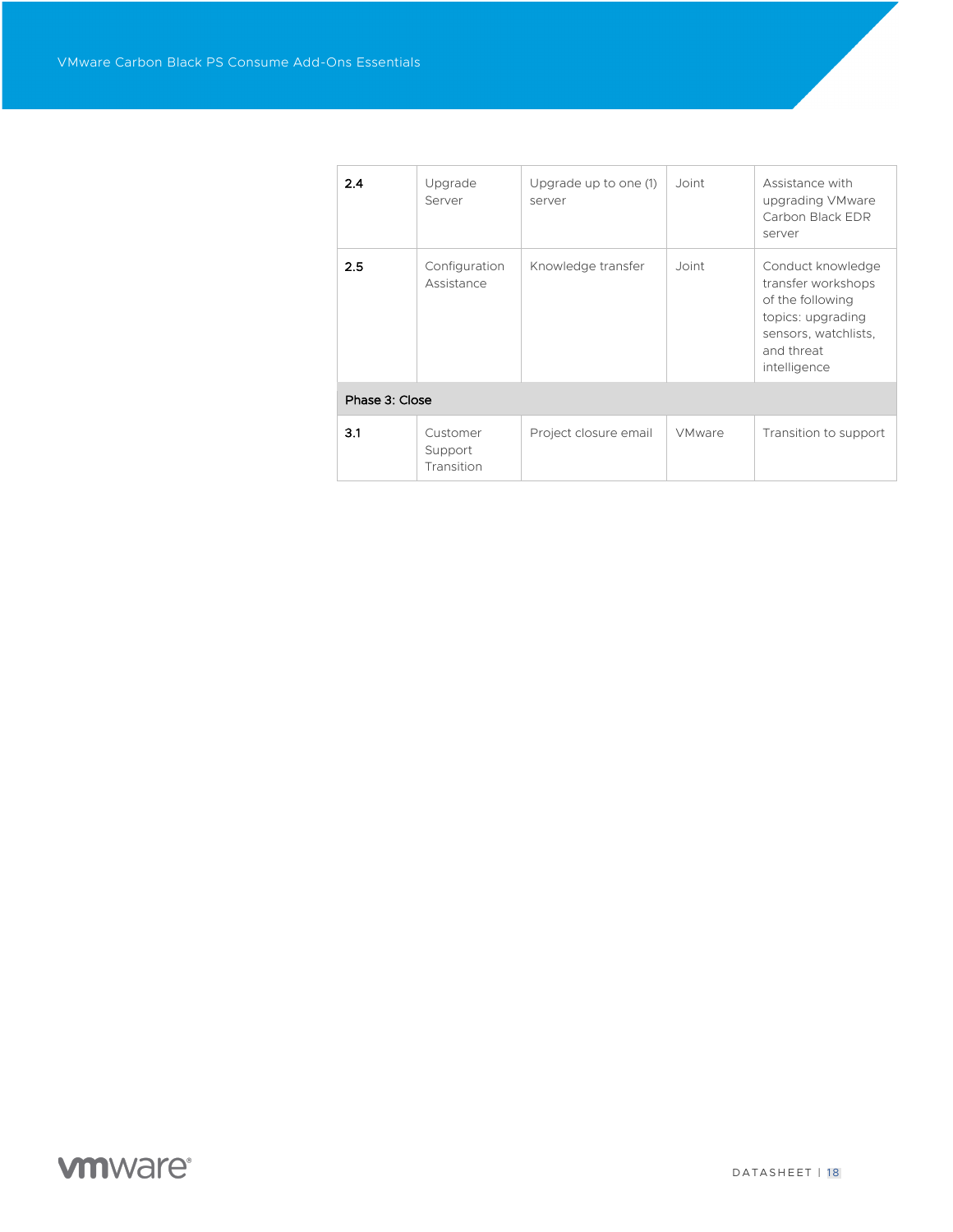| 2.4            | Upgrade<br>Server                 | Upgrade up to one (1)<br>server | Joint         | Assistance with<br>upgrading VMware<br>Carbon Black EDR<br>server                                                                      |  |  |  |
|----------------|-----------------------------------|---------------------------------|---------------|----------------------------------------------------------------------------------------------------------------------------------------|--|--|--|
| 2.5            | Configuration<br>Assistance       | Knowledge transfer              | Joint         | Conduct knowledge<br>transfer workshops<br>of the following<br>topics: upgrading<br>sensors, watchlists,<br>and threat<br>intelligence |  |  |  |
| Phase 3: Close |                                   |                                 |               |                                                                                                                                        |  |  |  |
| 3.1            | Customer<br>Support<br>Transition | Project closure email           | <b>VMware</b> | Transition to support                                                                                                                  |  |  |  |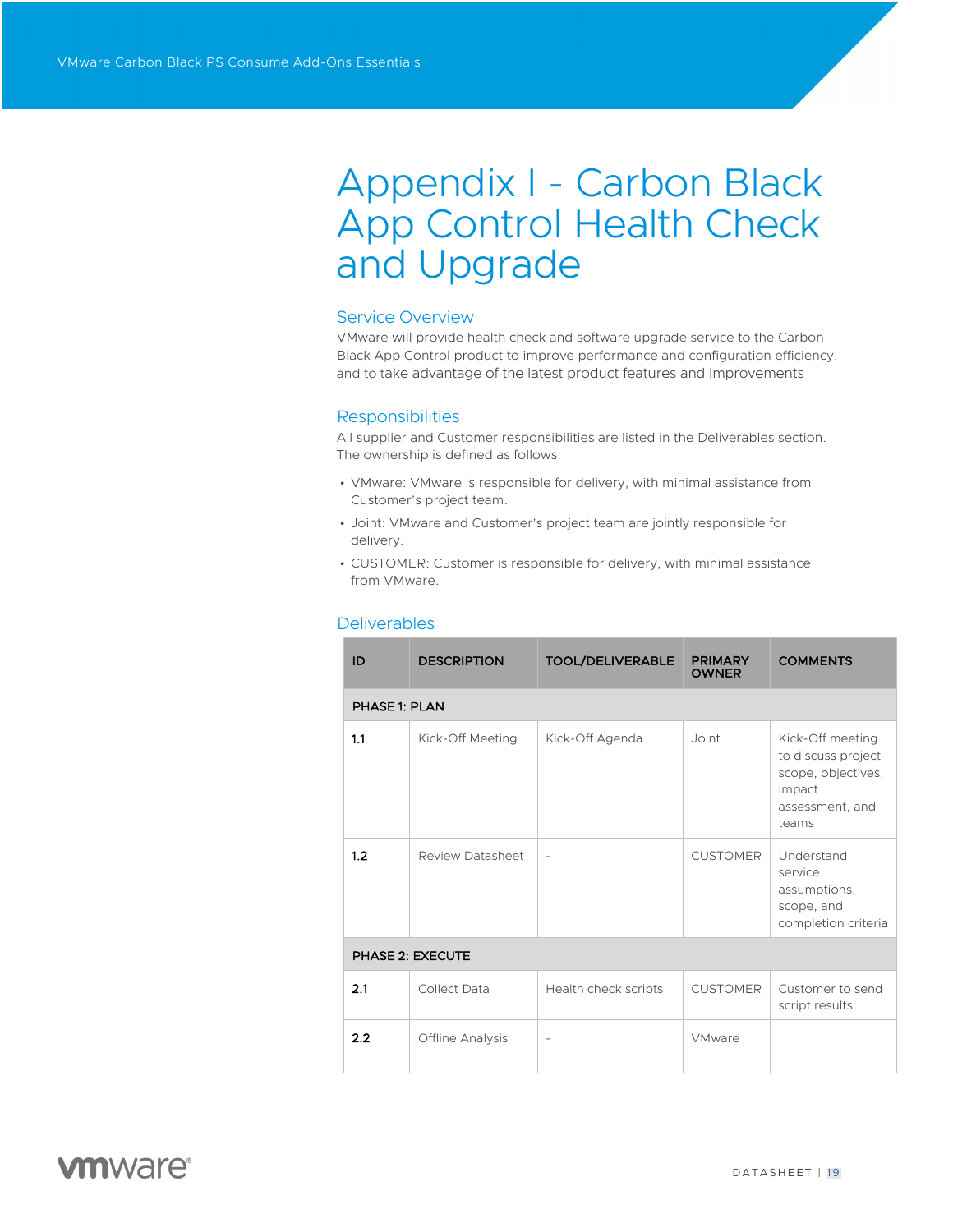# Appendix I - Carbon Black App Control Health Check and Upgrade

### Service Overview

VMware will provide health check and software upgrade service to the Carbon Black App Control product to improve performance and configuration efficiency, and to take advantage of the latest product features and improvements

### **Responsibilities**

All supplier and Customer responsibilities are listed in the Deliverables section. The ownership is defined as follows:

- VMware: VMware is responsible for delivery, with minimal assistance from Customer's project team.
- Joint: VMware and Customer's project team are jointly responsible for delivery.
- CUSTOMER: Customer is responsible for delivery, with minimal assistance from VMware.

| ID                      | <b>DESCRIPTION</b>      | <b>TOOL/DELIVERABLE</b>  | <b>PRIMARY</b><br><b>OWNER</b> | <b>COMMENTS</b>                                                                                    |  |  |
|-------------------------|-------------------------|--------------------------|--------------------------------|----------------------------------------------------------------------------------------------------|--|--|
| <b>PHASE 1: PLAN</b>    |                         |                          |                                |                                                                                                    |  |  |
| 1.1                     | Kick-Off Meeting        | Kick-Off Agenda          | Joint                          | Kick-Off meeting<br>to discuss project<br>scope, objectives,<br>impact<br>assessment, and<br>teams |  |  |
| 1.2                     | Review Datasheet        | $\overline{\phantom{a}}$ | <b>CUSTOMER</b>                | Understand<br>service<br>assumptions,<br>scope, and<br>completion criteria                         |  |  |
| <b>PHASE 2: EXECUTE</b> |                         |                          |                                |                                                                                                    |  |  |
| 2.1                     | Collect Data            | Health check scripts     | <b>CUSTOMER</b>                | Customer to send<br>script results                                                                 |  |  |
| 2.2                     | <b>Offline Analysis</b> |                          | <b>VMware</b>                  |                                                                                                    |  |  |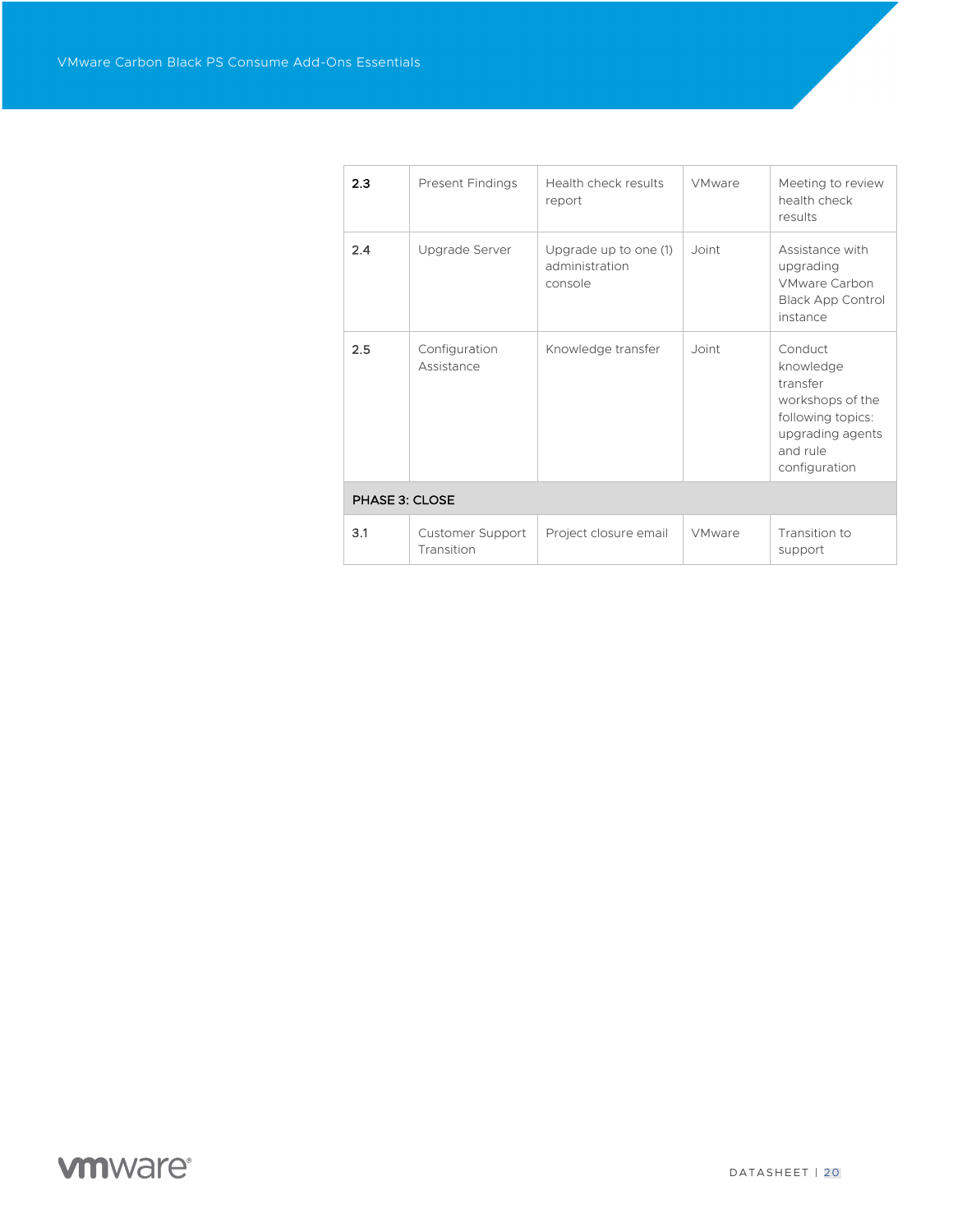| 2.3            | <b>Present Findings</b>        | Health check results<br>report                     | <b>VMware</b> | Meeting to review<br>health check<br>results                                                                               |  |  |
|----------------|--------------------------------|----------------------------------------------------|---------------|----------------------------------------------------------------------------------------------------------------------------|--|--|
| 2.4            | Upgrade Server                 | Upgrade up to one (1)<br>administration<br>console | Joint         | Assistance with<br>upgrading<br><b>VMware Carbon</b><br><b>Black App Control</b><br>instance                               |  |  |
| 2.5            | Configuration<br>Assistance    | Knowledge transfer                                 | Joint         | Conduct<br>knowledge<br>transfer<br>workshops of the<br>following topics:<br>upgrading agents<br>and rule<br>configuration |  |  |
| PHASE 3: CLOSE |                                |                                                    |               |                                                                                                                            |  |  |
| 3.1            | Customer Support<br>Transition | Project closure email                              | <b>VMware</b> | Transition to<br>support                                                                                                   |  |  |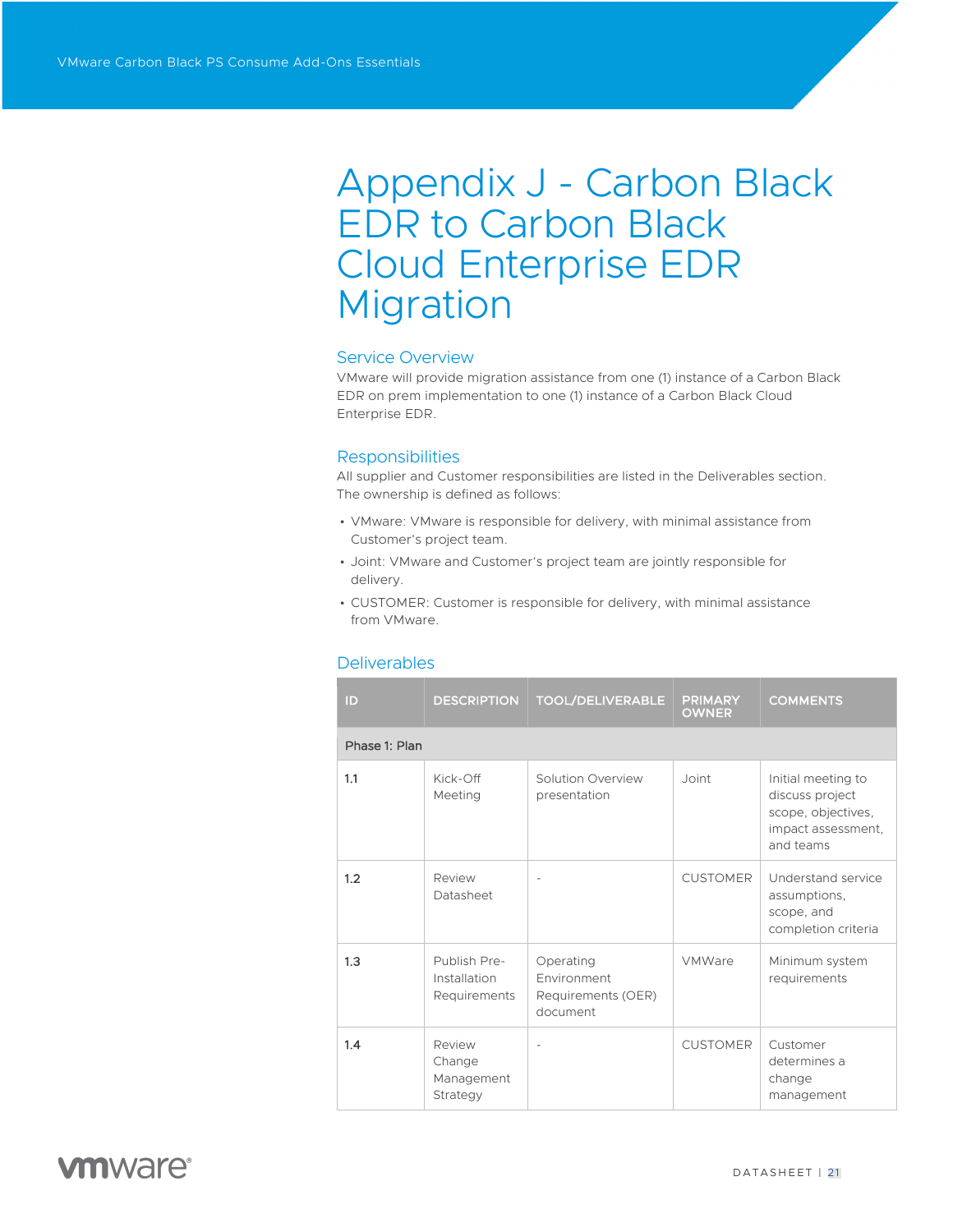# Appendix J - Carbon Black EDR to Carbon Black Cloud Enterprise EDR Migration

### Service Overview

VMware will provide migration assistance from one (1) instance of a Carbon Black EDR on prem implementation to one (1) instance of a Carbon Black Cloud Enterprise EDR.

### **Responsibilities**

All supplier and Customer responsibilities are listed in the Deliverables section. The ownership is defined as follows:

- VMware: VMware is responsible for delivery, with minimal assistance from Customer's project team.
- Joint: VMware and Customer's project team are jointly responsible for delivery.
- CUSTOMER: Customer is responsible for delivery, with minimal assistance from VMware.

| ID            | <b>DESCRIPTION</b>                           | <b>TOOL/DELIVERABLE</b>                                    | <b>PRIMARY</b><br><b>OWNER</b> | <b>COMMENTS</b>                                                                                |
|---------------|----------------------------------------------|------------------------------------------------------------|--------------------------------|------------------------------------------------------------------------------------------------|
| Phase 1: Plan |                                              |                                                            |                                |                                                                                                |
| 1.1           | Kick-Off<br>Meeting                          | Solution Overview<br>presentation                          | Joint                          | Initial meeting to<br>discuss project<br>scope, objectives,<br>impact assessment,<br>and teams |
| 1.2           | Review<br>Datasheet                          |                                                            | <b>CUSTOMER</b>                | Understand service<br>assumptions,<br>scope, and<br>completion criteria                        |
| 1.3           | Publish Pre-<br>Installation<br>Requirements | Operating<br>Environment<br>Requirements (OER)<br>document | VMWare                         | Minimum system<br>requirements                                                                 |
| 1.4           | Review<br>Change<br>Management<br>Strategy   |                                                            | <b>CUSTOMER</b>                | Customer<br>determines a<br>change<br>management                                               |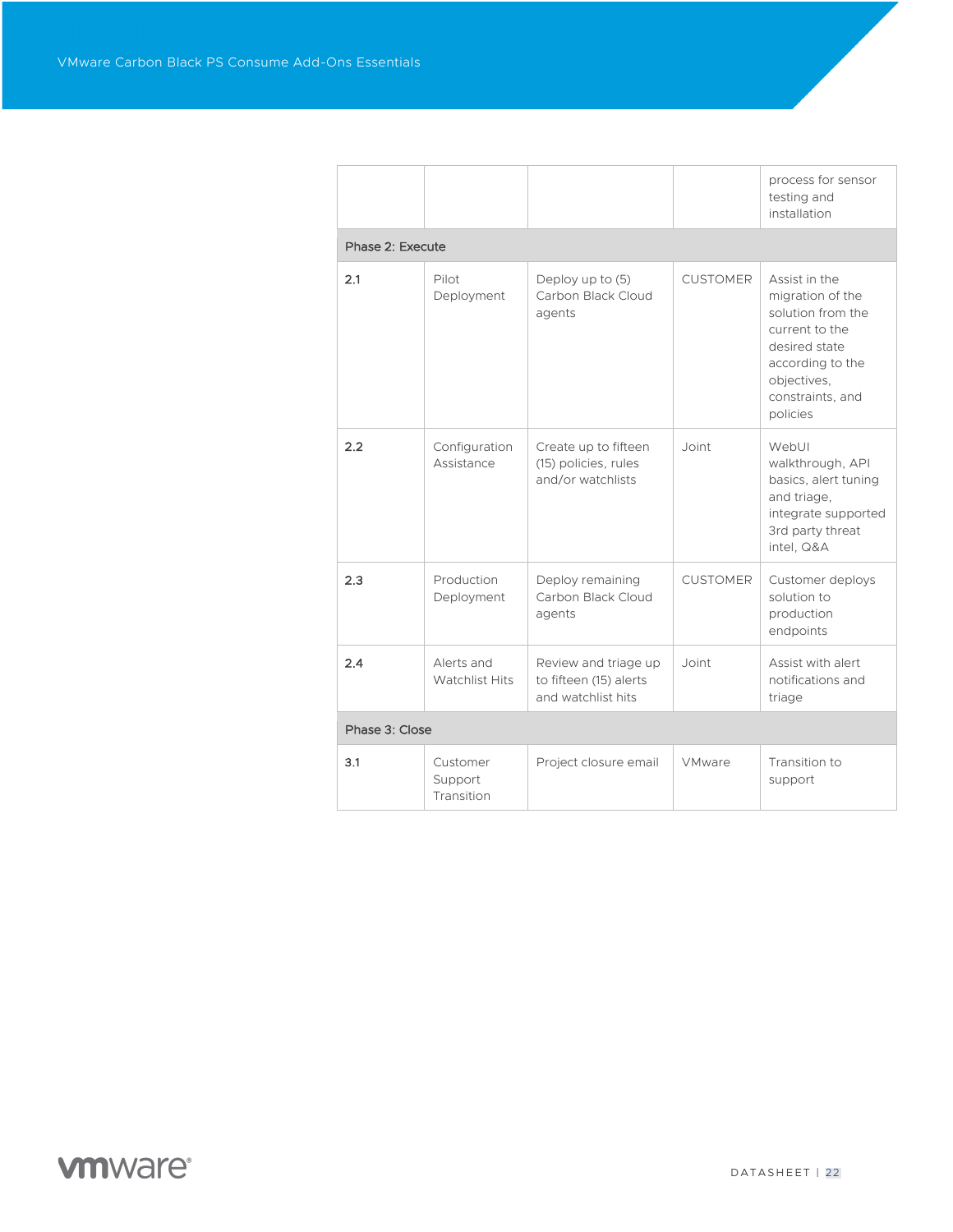|                  |                                     |                                                                      |                 | process for sensor<br>testing and<br>installation                                                                                                            |
|------------------|-------------------------------------|----------------------------------------------------------------------|-----------------|--------------------------------------------------------------------------------------------------------------------------------------------------------------|
| Phase 2: Execute |                                     |                                                                      |                 |                                                                                                                                                              |
| 2.1              | Pilot<br>Deployment                 | Deploy up to (5)<br>Carbon Black Cloud<br>agents                     | <b>CUSTOMER</b> | Assist in the<br>migration of the<br>solution from the<br>current to the<br>desired state<br>according to the<br>objectives,<br>constraints, and<br>policies |
| 2.2              | Configuration<br>Assistance         | Create up to fifteen<br>(15) policies, rules<br>and/or watchlists    | Joint           | WebUI<br>walkthrough, API<br>basics, alert tuning<br>and triage,<br>integrate supported<br>3rd party threat<br>intel, Q&A                                    |
| 2.3              | Production<br>Deployment            | Deploy remaining<br>Carbon Black Cloud<br>agents                     | <b>CUSTOMER</b> | Customer deploys<br>solution to<br>production<br>endpoints                                                                                                   |
| 2.4              | Alerts and<br><b>Watchlist Hits</b> | Review and triage up<br>to fifteen (15) alerts<br>and watchlist hits | Joint           | Assist with alert<br>notifications and<br>triage                                                                                                             |
| Phase 3: Close   |                                     |                                                                      |                 |                                                                                                                                                              |
| 3.1              | Customer<br>Support<br>Transition   | Project closure email                                                | <b>VMware</b>   | Transition to<br>support                                                                                                                                     |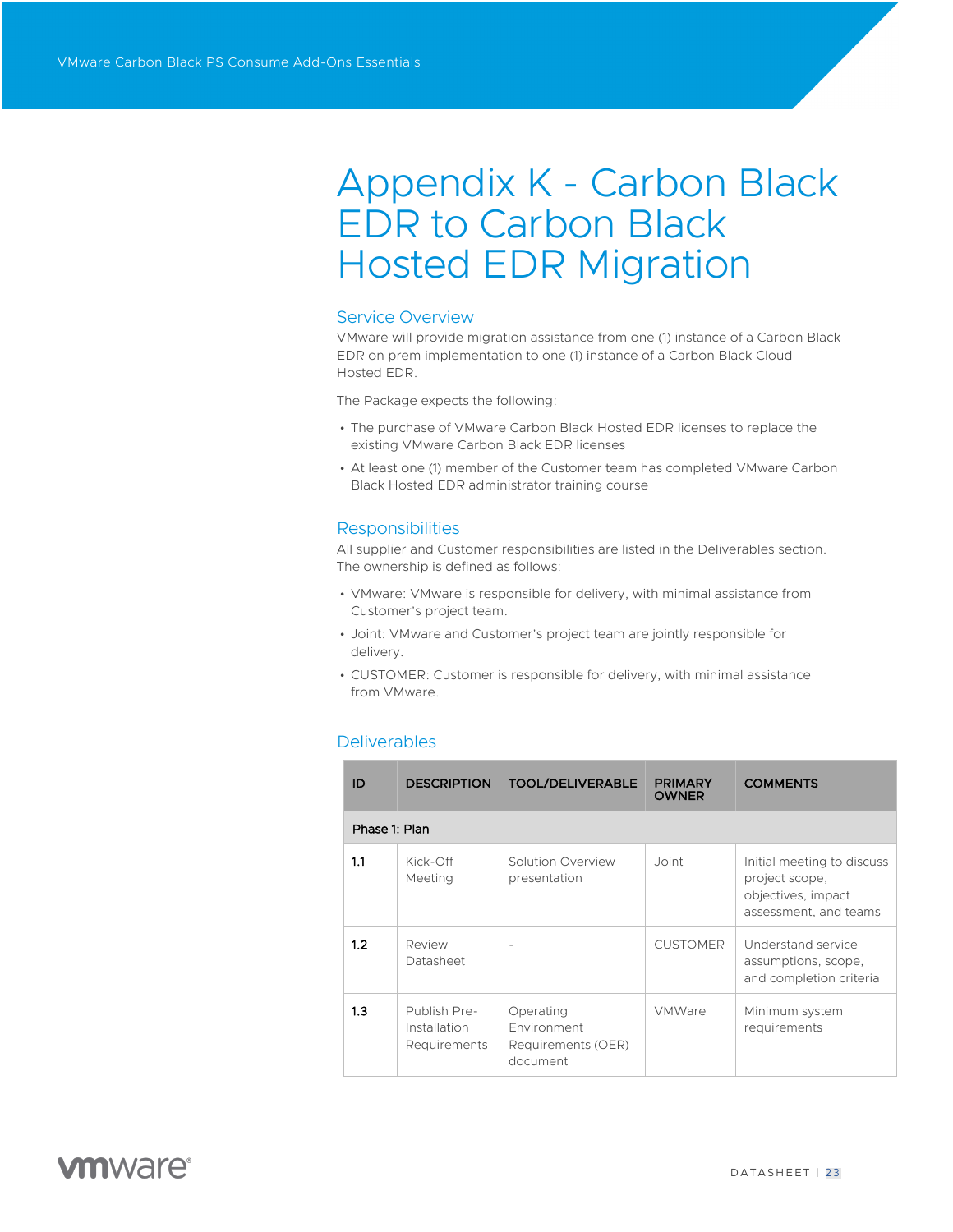# Appendix K - Carbon Black EDR to Carbon Black Hosted EDR Migration

### Service Overview

VMware will provide migration assistance from one (1) instance of a Carbon Black EDR on prem implementation to one (1) instance of a Carbon Black Cloud Hosted EDR.

The Package expects the following:

- The purchase of VMware Carbon Black Hosted EDR licenses to replace the existing VMware Carbon Black EDR licenses
- At least one (1) member of the Customer team has completed VMware Carbon Black Hosted EDR administrator training course

#### **Responsibilities**

All supplier and Customer responsibilities are listed in the Deliverables section. The ownership is defined as follows:

- VMware: VMware is responsible for delivery, with minimal assistance from Customer's project team.
- Joint: VMware and Customer's project team are jointly responsible for delivery.
- CUSTOMER: Customer is responsible for delivery, with minimal assistance from VMware.

| ID  | <b>DESCRIPTION</b>                                  | <b>TOOL/DELIVERABLE</b>                                    | <b>PRIMARY</b><br><b>OWNER</b> | <b>COMMENTS</b>                                                                             |  |  |  |  |
|-----|-----------------------------------------------------|------------------------------------------------------------|--------------------------------|---------------------------------------------------------------------------------------------|--|--|--|--|
|     | Phase 1: Plan                                       |                                                            |                                |                                                                                             |  |  |  |  |
| 1.1 | Kick-Off<br>Meeting                                 | Solution Overview<br>presentation                          | Joint                          | Initial meeting to discuss<br>project scope,<br>objectives, impact<br>assessment, and teams |  |  |  |  |
| 1.2 | Review<br>Datasheet                                 |                                                            | <b>CUSTOMER</b>                | Understand service<br>assumptions, scope,<br>and completion criteria                        |  |  |  |  |
| 1.3 | Publish Pre-<br>Installation<br><b>Requirements</b> | Operating<br>Environment<br>Requirements (OER)<br>document | <b>VMWare</b>                  | Minimum system<br>requirements                                                              |  |  |  |  |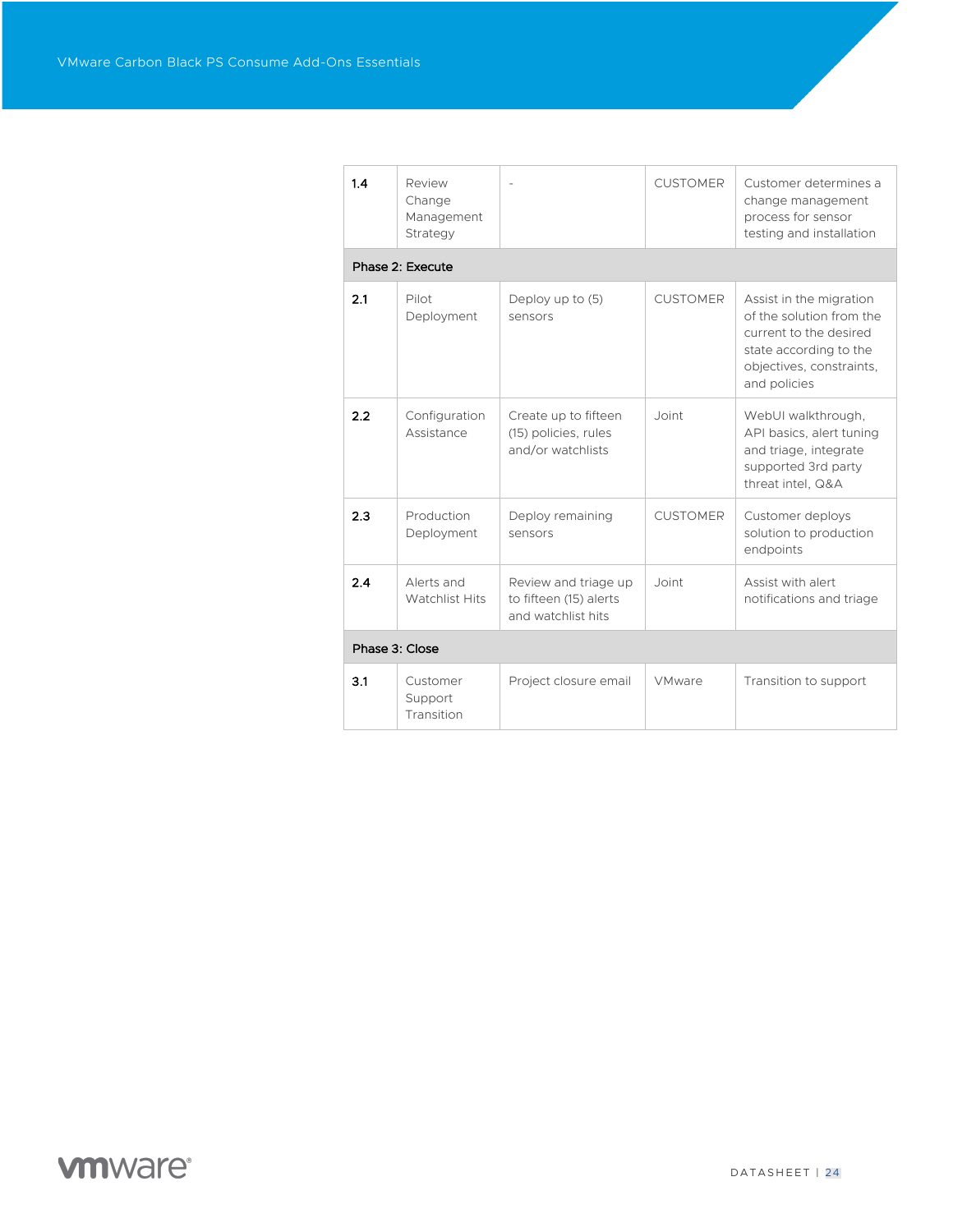| 1.4            | Review<br>Change<br>Management<br>Strategy |                                                                      | <b>CUSTOMER</b> | Customer determines a<br>change management<br>process for sensor<br>testing and installation                                                        |  |  |  |  |
|----------------|--------------------------------------------|----------------------------------------------------------------------|-----------------|-----------------------------------------------------------------------------------------------------------------------------------------------------|--|--|--|--|
|                | Phase 2: Execute                           |                                                                      |                 |                                                                                                                                                     |  |  |  |  |
| 2.1            | Pilot<br>Deployment                        | Deploy up to (5)<br>sensors                                          | <b>CUSTOMER</b> | Assist in the migration<br>of the solution from the<br>current to the desired<br>state according to the<br>objectives, constraints,<br>and policies |  |  |  |  |
| 2.2            | Configuration<br>Assistance                | Create up to fifteen<br>(15) policies, rules<br>and/or watchlists    | Joint           | WebUI walkthrough.<br>API basics, alert tuning<br>and triage, integrate<br>supported 3rd party<br>threat intel, Q&A                                 |  |  |  |  |
| 2.3            | Production<br>Deployment                   | Deploy remaining<br>sensors                                          | <b>CUSTOMER</b> | Customer deploys<br>solution to production<br>endpoints                                                                                             |  |  |  |  |
| 2.4            | Alerts and<br><b>Watchlist Hits</b>        | Review and triage up<br>to fifteen (15) alerts<br>and watchlist hits | Joint           | Assist with alert<br>notifications and triage                                                                                                       |  |  |  |  |
| Phase 3: Close |                                            |                                                                      |                 |                                                                                                                                                     |  |  |  |  |
| 3.1            | Customer<br>Support<br>Transition          | Project closure email                                                | VMware          | Transition to support                                                                                                                               |  |  |  |  |